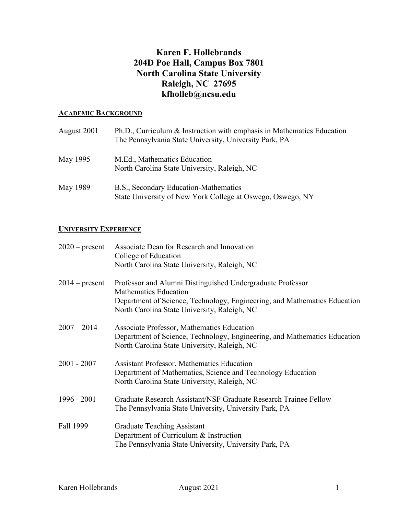# **Karen F. Hollebrands 204D Poe Hall, Campus Box 7801 North Carolina State University Raleigh, NC 27695 kfholleb@ncsu.edu**

### **ACADEMIC BACKGROUND**

| August 2001 | Ph.D., Curriculum & Instruction with emphasis in Mathematics Education<br>The Pennsylvania State University, University Park, PA |
|-------------|----------------------------------------------------------------------------------------------------------------------------------|
| May 1995    | M.Ed., Mathematics Education<br>North Carolina State University, Raleigh, NC                                                     |
| May 1989    | B.S., Secondary Education-Mathematics<br>State University of New York College at Oswego, Oswego, NY                              |

## **UNIVERSITY EXPERIENCE**

| $2020$ – present | Associate Dean for Research and Innovation<br>College of Education                                                                                                      |
|------------------|-------------------------------------------------------------------------------------------------------------------------------------------------------------------------|
|                  | North Carolina State University, Raleigh, NC                                                                                                                            |
| $2014$ – present | Professor and Alumni Distinguished Undergraduate Professor<br><b>Mathematics Education</b>                                                                              |
|                  | Department of Science, Technology, Engineering, and Mathematics Education<br>North Carolina State University, Raleigh, NC                                               |
| $2007 - 2014$    | Associate Professor, Mathematics Education<br>Department of Science, Technology, Engineering, and Mathematics Education<br>North Carolina State University, Raleigh, NC |
| $2001 - 2007$    | <b>Assistant Professor, Mathematics Education</b><br>Department of Mathematics, Science and Technology Education<br>North Carolina State University, Raleigh, NC        |
| 1996 - 2001      | Graduate Research Assistant/NSF Graduate Research Trainee Fellow<br>The Pennsylvania State University, University Park, PA                                              |
| Fall 1999        | <b>Graduate Teaching Assistant</b><br>Department of Curriculum & Instruction<br>The Pennsylvania State University, University Park, PA                                  |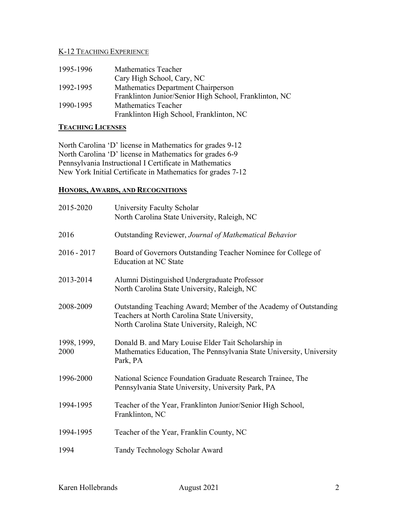# K-12 TEACHING EXPERIENCE

| 1995-1996 | Mathematics Teacher                                    |
|-----------|--------------------------------------------------------|
|           | Cary High School, Cary, NC                             |
| 1992-1995 | Mathematics Department Chairperson                     |
|           | Franklinton Junior/Senior High School, Franklinton, NC |
| 1990-1995 | Mathematics Teacher                                    |
|           | Franklinton High School, Franklinton, NC               |

## **TEACHING LICENSES**

North Carolina 'D' license in Mathematics for grades 9-12 North Carolina 'D' license in Mathematics for grades 6-9 Pennsylvania Instructional I Certificate in Mathematics New York Initial Certificate in Mathematics for grades 7-12

### **HONORS, AWARDS, AND RECOGNITIONS**

| 2015-2020           | University Faculty Scholar<br>North Carolina State University, Raleigh, NC                                                                                       |
|---------------------|------------------------------------------------------------------------------------------------------------------------------------------------------------------|
| 2016                | Outstanding Reviewer, Journal of Mathematical Behavior                                                                                                           |
| $2016 - 2017$       | Board of Governors Outstanding Teacher Nominee for College of<br><b>Education at NC State</b>                                                                    |
| 2013-2014           | Alumni Distinguished Undergraduate Professor<br>North Carolina State University, Raleigh, NC                                                                     |
| 2008-2009           | Outstanding Teaching Award; Member of the Academy of Outstanding<br>Teachers at North Carolina State University,<br>North Carolina State University, Raleigh, NC |
| 1998, 1999,<br>2000 | Donald B. and Mary Louise Elder Tait Scholarship in<br>Mathematics Education, The Pennsylvania State University, University<br>Park, PA                          |
| 1996-2000           | National Science Foundation Graduate Research Trainee, The<br>Pennsylvania State University, University Park, PA                                                 |
| 1994-1995           | Teacher of the Year, Franklinton Junior/Senior High School,<br>Franklinton, NC                                                                                   |
| 1994-1995           | Teacher of the Year, Franklin County, NC                                                                                                                         |
| 1994                | Tandy Technology Scholar Award                                                                                                                                   |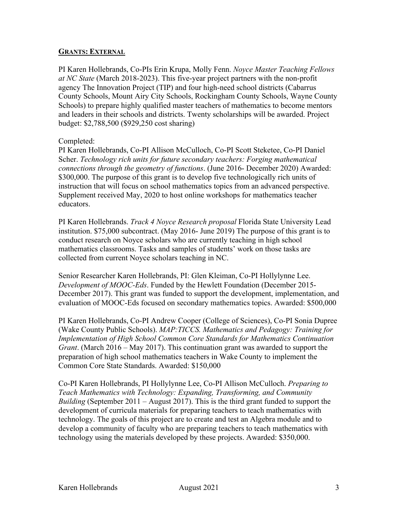#### **GRANTS: EXTERNAL**

PI Karen Hollebrands, Co-PIs Erin Krupa, Molly Fenn. *Noyce Master Teaching Fellows at NC State* (March 2018-2023). This five-year project partners with the non-profit agency The Innovation Project (TIP) and four high-need school districts (Cabarrus County Schools, Mount Airy City Schools, Rockingham County Schools, Wayne County Schools) to prepare highly qualified master teachers of mathematics to become mentors and leaders in their schools and districts. Twenty scholarships will be awarded. Project budget: \$2,788,500 (\$929,250 cost sharing)

### Completed:

PI Karen Hollebrands, Co-PI Allison McCulloch, Co-PI Scott Steketee, Co-PI Daniel Scher. *Technology rich units for future secondary teachers: Forging mathematical connections through the geometry of functions*. (June 2016- December 2020) Awarded: \$300,000. The purpose of this grant is to develop five technologically rich units of instruction that will focus on school mathematics topics from an advanced perspective. Supplement received May, 2020 to host online workshops for mathematics teacher educators.

PI Karen Hollebrands. *Track 4 Noyce Research proposal* Florida State University Lead institution. \$75,000 subcontract. (May 2016- June 2019) The purpose of this grant is to conduct research on Noyce scholars who are currently teaching in high school mathematics classrooms. Tasks and samples of students' work on those tasks are collected from current Noyce scholars teaching in NC.

Senior Researcher Karen Hollebrands, PI: Glen Kleiman, Co-PI Hollylynne Lee. *Development of MOOC-Eds*. Funded by the Hewlett Foundation (December 2015- December 2017). This grant was funded to support the development, implementation, and evaluation of MOOC-Eds focused on secondary mathematics topics. Awarded: \$500,000

PI Karen Hollebrands, Co-PI Andrew Cooper (College of Sciences), Co-PI Sonia Dupree (Wake County Public Schools). *MAP:TICCS. Mathematics and Pedagogy: Training for Implementation of High School Common Core Standards for Mathematics Continuation Grant*. (March 2016 – May 2017). This continuation grant was awarded to support the preparation of high school mathematics teachers in Wake County to implement the Common Core State Standards. Awarded: \$150,000

Co-PI Karen Hollebrands, PI Hollylynne Lee, Co-PI Allison McCulloch. *Preparing to Teach Mathematics with Technology: Expanding, Transforming, and Community Building* (September 2011 – August 2017). This is the third grant funded to support the development of curricula materials for preparing teachers to teach mathematics with technology. The goals of this project are to create and test an Algebra module and to develop a community of faculty who are preparing teachers to teach mathematics with technology using the materials developed by these projects. Awarded: \$350,000.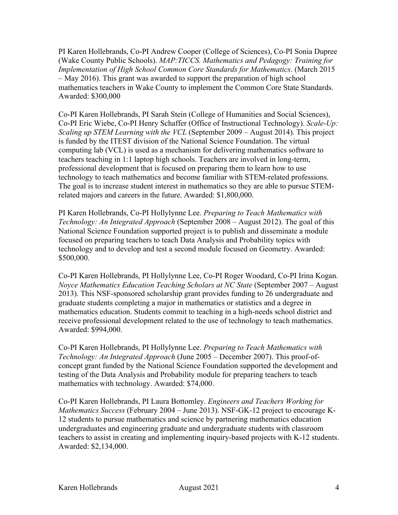PI Karen Hollebrands, Co-PI Andrew Cooper (College of Sciences), Co-PI Sonia Dupree (Wake County Public Schools). *MAP:TICCS. Mathematics and Pedagogy: Training for Implementation of High School Common Core Standards for Mathematics*. (March 2015 – May 2016). This grant was awarded to support the preparation of high school mathematics teachers in Wake County to implement the Common Core State Standards. Awarded: \$300,000

Co-PI Karen Hollebrands, PI Sarah Stein (College of Humanities and Social Sciences), Co-PI Eric Wiebe, Co-PI Henry Schaffer (Office of Instructional Technology). *Scale-Up: Scaling up STEM Learning with the VCL* (September 2009 – August 2014). This project is funded by the ITEST division of the National Science Foundation. The virtual computing lab (VCL) is used as a mechanism for delivering mathematics software to teachers teaching in 1:1 laptop high schools. Teachers are involved in long-term, professional development that is focused on preparing them to learn how to use technology to teach mathematics and become familiar with STEM-related professions. The goal is to increase student interest in mathematics so they are able to pursue STEMrelated majors and careers in the future. Awarded: \$1,800,000.

PI Karen Hollebrands, Co-PI Hollylynne Lee. *Preparing to Teach Mathematics with Technology: An Integrated Approach* (September 2008 – August 2012). The goal of this National Science Foundation supported project is to publish and disseminate a module focused on preparing teachers to teach Data Analysis and Probability topics with technology and to develop and test a second module focused on Geometry. Awarded: \$500,000.

Co-PI Karen Hollebrands, PI Hollylynne Lee, Co-PI Roger Woodard, Co-PI Irina Kogan. *Noyce Mathematics Education Teaching Scholars at NC State* (September 2007 – August 2013). This NSF-sponsored scholarship grant provides funding to 26 undergraduate and graduate students completing a major in mathematics or statistics and a degree in mathematics education. Students commit to teaching in a high-needs school district and receive professional development related to the use of technology to teach mathematics. Awarded: \$994,000.

Co-PI Karen Hollebrands, PI Hollylynne Lee. *Preparing to Teach Mathematics with Technology: An Integrated Approach* (June 2005 – December 2007). This proof-ofconcept grant funded by the National Science Foundation supported the development and testing of the Data Analysis and Probability module for preparing teachers to teach mathematics with technology. Awarded: \$74,000.

Co-PI Karen Hollebrands, PI Laura Bottomley. *Engineers and Teachers Working for Mathematics Success* (February 2004 – June 2013). NSF-GK-12 project to encourage K-12 students to pursue mathematics and science by partnering mathematics education undergraduates and engineering graduate and undergraduate students with classroom teachers to assist in creating and implementing inquiry-based projects with K-12 students. Awarded: \$2,134,000.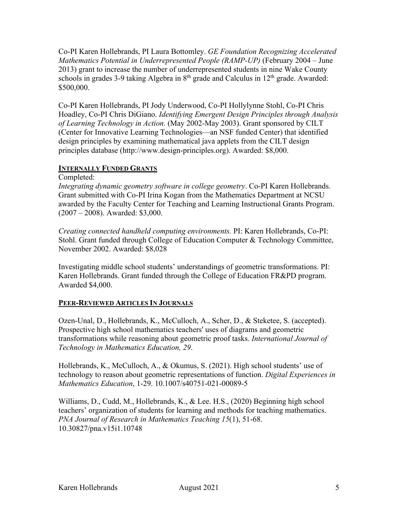Co-PI Karen Hollebrands, PI Laura Bottomley. *GE Foundation Recognizing Accelerated Mathematics Potential in Underrepresented People (RAMP-UP)* (February 2004 – June 2013) grant to increase the number of underrepresented students in nine Wake County schools in grades 3-9 taking Algebra in  $8<sup>th</sup>$  grade and Calculus in  $12<sup>th</sup>$  grade. Awarded: \$500,000.

Co-PI Karen Hollebrands, PI Jody Underwood, Co-PI Hollylynne Stohl, Co-PI Chris Hoadley, Co-PI Chris DiGiano. *Identifying Emergent Design Principles through Analysis of Learning Technology in Action.* (May 2002-May 2003). Grant sponsored by CILT (Center for Innovative Learning Technologies—an NSF funded Center) that identified design principles by examining mathematical java applets from the CILT design principles database (http://www.design-principles.org). Awarded: \$8,000.

## **INTERNALLY FUNDED GRANTS**

Completed:

*Integrating dynamic geometry software in college geometry*. Co-PI Karen Hollebrands. Grant submitted with Co-PI Irina Kogan from the Mathematics Department at NCSU awarded by the Faculty Center for Teaching and Learning Instructional Grants Program. (2007 – 2008). Awarded: \$3,000.

*Creating connected handheld computing environments.* PI: Karen Hollebrands, Co-PI: Stohl. Grant funded through College of Education Computer & Technology Committee, November 2002. Awarded: \$8,028

Investigating middle school students' understandings of geometric transformations. PI: Karen Hollebrands. Grant funded through the College of Education FR&PD program. Awarded \$4,000.

## **PEER-REVIEWED ARTICLES IN JOURNALS**

Ozen-Unal, D., Hollebrands, K., McCulloch, A., Scher, D., & Steketee, S. (accepted). Prospective high school mathematics teachers' uses of diagrams and geometric transformations while reasoning about geometric proof tasks. *International Journal of Technology in Mathematics Education, 29*.

Hollebrands, K., McCulloch, A., & Okumus, S. (2021). High school students' use of technology to reason about geometric representations of function. *Digital Experiences in Mathematics Education*, 1-29. 10.1007/s40751-021-00089-5

Williams, D., Cudd, M., Hollebrands, K., & Lee. H.S., (2020) Beginning high school teachers' organization of students for learning and methods for teaching mathematics. *PNA Journal of Research in Mathematics Teaching 15*(1), 51-68. 10.30827/pna.v15i1.10748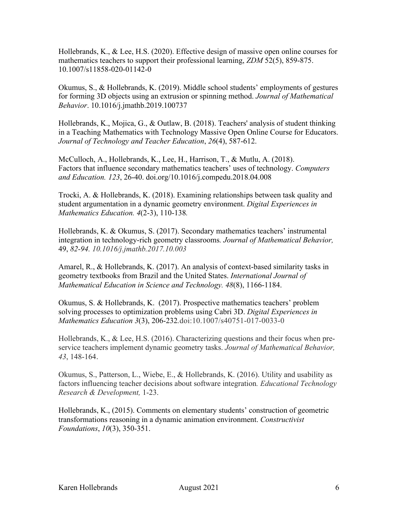Hollebrands, K., & Lee, H.S. (2020). Effective design of massive open online courses for mathematics teachers to support their professional learning, *ZDM* 52(5), 859-875. 10.1007/s11858-020-01142-0

Okumus, S., & Hollebrands, K. (2019). Middle school students' employments of gestures for forming 3D objects using an extrusion or spinning method. *Journal of Mathematical Behavior*. 10.1016/j.jmathb.2019.100737

Hollebrands, K., Mojica, G., & Outlaw, B. (2018). Teachers' analysis of student thinking in a Teaching Mathematics with Technology Massive Open Online Course for Educators. *Journal of Technology and Teacher Education*, *26*(4), 587-612.

McCulloch, A., Hollebrands, K., Lee, H., Harrison, T., & Mutlu, A. (2018). Factors that influence secondary mathematics teachers' uses of technology. *Computers and Education. 123*, 26-40. doi.org/10.1016/j.compedu.2018.04.008

Trocki, A. & Hollebrands, K. (2018). Examining relationships between task quality and student argumentation in a dynamic geometry environment. *Digital Experiences in Mathematics Education. 4*(2-3), 110-138*.*

Hollebrands, K. & Okumus, S. (2017). Secondary mathematics teachers' instrumental integration in technology-rich geometry classrooms*. Journal of Mathematical Behavior,* 49, *82-94. 10.1016/j.jmathb.2017.10.003*

Amarel, R., & Hollebrands, K. (2017). An analysis of context-based similarity tasks in geometry textbooks from Brazil and the United States. *International Journal of Mathematical Education in Science and Technology. 48*(8), 1166-1184.

Okumus, S. & Hollebrands, K. (2017). Prospective mathematics teachers' problem solving processes to optimization problems using Cabri 3D. *Digital Experiences in Mathematics Education 3*(3), 206-232*.*doi:10.1007/s40751-017-0033-0

Hollebrands, K., & Lee, H.S. (2016). Characterizing questions and their focus when preservice teachers implement dynamic geometry tasks. *Journal of Mathematical Behavior, 43*, 148-164.

Okumus, S., Patterson, L., Wiebe, E., & Hollebrands, K. (2016). Utility and usability as factors influencing teacher decisions about software integration*. Educational Technology Research & Development,* 1-23.

Hollebrands, K., (2015). Comments on elementary students' construction of geometric transformations reasoning in a dynamic animation environment. *Constructivist Foundations*, *10*(3), 350-351.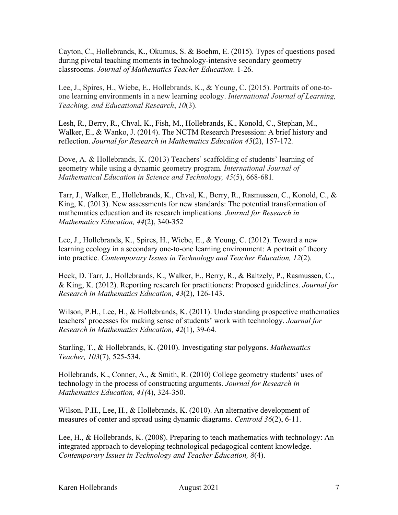Cayton, C., Hollebrands, K., Okumus, S. & Boehm, E. (2015). Types of questions posed during pivotal teaching moments in technology-intensive secondary geometry classrooms. *Journal of Mathematics Teacher Education*. 1-26.

Lee, J., Spires, H., Wiebe, E., Hollebrands, K., & Young, C. (2015). Portraits of one-toone learning environments in a new learning ecology. *International Journal of Learning, Teaching, and Educational Research*, *10*(3).

Lesh, R., Berry, R., Chval, K., Fish, M., Hollebrands, K., Konold, C., Stephan, M., Walker, E., & Wanko, J. (2014). The NCTM Research Presession: A brief history and reflection. *Journal for Research in Mathematics Education 45*(2), 157-172*.*

Dove, A. & Hollebrands, K. (2013) Teachers' scaffolding of students' learning of geometry while using a dynamic geometry program*. International Journal of Mathematical Education in Science and Technology, 45*(5), 668-681*.*

Tarr, J., Walker, E., Hollebrands, K., Chval, K., Berry, R., Rasmussen, C., Konold, C., & King, K. (2013). New assessments for new standards: The potential transformation of mathematics education and its research implications. *Journal for Research in Mathematics Education, 44*(2), 340-352

Lee, J., Hollebrands, K., Spires, H., Wiebe, E., & Young, C. (2012). Toward a new learning ecology in a secondary one-to-one learning environment: A portrait of theory into practice. *Contemporary Issues in Technology and Teacher Education, 12*(2)*.*

Heck, D. Tarr, J., Hollebrands, K., Walker, E., Berry, R., & Baltzely, P., Rasmussen, C., & King, K. (2012). Reporting research for practitioners: Proposed guidelines. *Journal for Research in Mathematics Education, 43*(2), 126-143.

Wilson, P.H., Lee, H., & Hollebrands, K. (2011). Understanding prospective mathematics teachers' processes for making sense of students' work with technology. *Journal for Research in Mathematics Education, 42*(1), 39-64*.*

Starling, T., & Hollebrands, K. (2010). Investigating star polygons. *Mathematics Teacher, 103*(7), 525-534.

Hollebrands, K., Conner, A., & Smith, R. (2010) College geometry students' uses of technology in the process of constructing arguments. *Journal for Research in Mathematics Education, 41(*4), 324-350.

Wilson, P.H., Lee, H., & Hollebrands, K. (2010). An alternative development of measures of center and spread using dynamic diagrams. *Centroid 36*(2), 6-11.

Lee, H., & Hollebrands, K. (2008). Preparing to teach mathematics with technology: An integrated approach to developing technological pedagogical content knowledge. *Contemporary Issues in Technology and Teacher Education, 8*(4).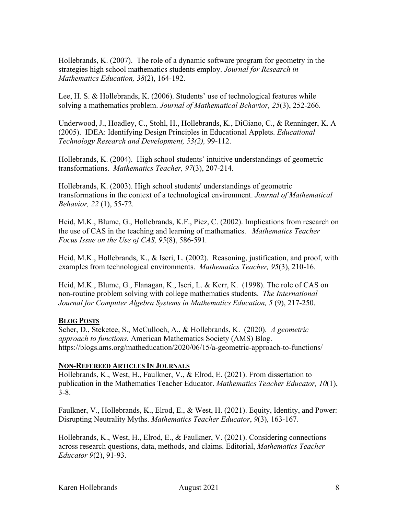Hollebrands, K. (2007). The role of a dynamic software program for geometry in the strategies high school mathematics students employ. *Journal for Research in Mathematics Education, 38*(2), 164-192.

Lee, H. S. & Hollebrands, K. (2006). Students' use of technological features while solving a mathematics problem. *Journal of Mathematical Behavior, 25*(3), 252-266.

Underwood, J., Hoadley, C., Stohl, H., Hollebrands, K., DiGiano, C., & Renninger, K. A (2005). IDEA: Identifying Design Principles in Educational Applets. *Educational Technology Research and Development, 53(2),* 99-112.

Hollebrands, K. (2004). High school students' intuitive understandings of geometric transformations. *Mathematics Teacher, 97*(3), 207-214.

Hollebrands, K. (2003). High school students' understandings of geometric transformations in the context of a technological environment. *Journal of Mathematical Behavior, 22* (1), 55-72.

Heid, M.K., Blume, G., Hollebrands, K.F., Piez, C. (2002). Implications from research on the use of CAS in the teaching and learning of mathematics. *Mathematics Teacher Focus Issue on the Use of CAS, 95*(8), 586-591*.*

Heid, M.K., Hollebrands, K., & Iseri, L. (2002). Reasoning, justification, and proof, with examples from technological environments. *Mathematics Teacher, 95*(3), 210-16.

Heid, M.K., Blume, G., Flanagan, K., Iseri, L. & Kerr, K. (1998). The role of CAS on non-routine problem solving with college mathematics students. *The International Journal for Computer Algebra Systems in Mathematics Education, 5* (9), 217-250.

#### **BLOG POSTS**

Scher, D., Steketee, S., McCulloch, A., & Hollebrands, K. (2020). *A geometric approach to functions.* American Mathematics Society (AMS) Blog. https://blogs.ams.org/matheducation/2020/06/15/a-geometric-approach-to-functions/

#### **NON-REFEREED ARTICLES IN JOURNALS**

Hollebrands, K., West, H., Faulkner, V., & Elrod, E. (2021). From dissertation to publication in the Mathematics Teacher Educator. *Mathematics Teacher Educator, 10*(1), 3-8.

Faulkner, V., Hollebrands, K., Elrod, E., & West, H. (2021). Equity, Identity, and Power: Disrupting Neutrality Myths. *Mathematics Teacher Educator*, *9*(3), 163-167.

Hollebrands, K., West, H., Elrod, E., & Faulkner, V. (2021). Considering connections across research questions, data, methods, and claims. Editorial, *Mathematics Teacher Educator 9*(2), 91-93.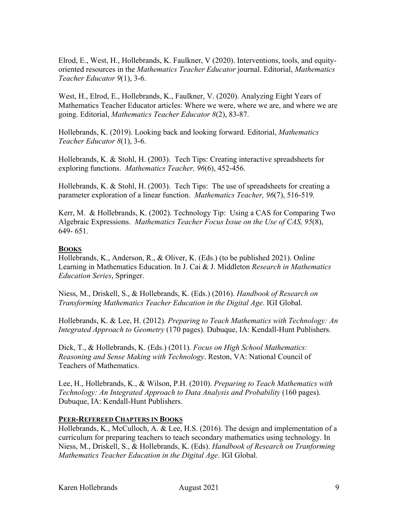Elrod, E., West, H., Hollebrands, K. Faulkner, V (2020). Interventions, tools, and equityoriented resources in the *Mathematics Teacher Educator* journal. Editorial, *Mathematics Teacher Educator 9*(1), 3-6.

West, H., Elrod, E., Hollebrands, K., Faulkner, V. (2020). Analyzing Eight Years of Mathematics Teacher Educator articles: Where we were, where we are, and where we are going. Editorial, *Mathematics Teacher Educator 8*(2), 83-87.

Hollebrands, K. (2019). Looking back and looking forward. Editorial, *Mathematics Teacher Educator 8*(1), 3-6.

Hollebrands, K. & Stohl, H. (2003). Tech Tips: Creating interactive spreadsheets for exploring functions. *Mathematics Teacher, 96*(6), 452-456.

Hollebrands, K. & Stohl, H. (2003). Tech Tips: The use of spreadsheets for creating a parameter exploration of a linear function. *Mathematics Teacher, 96*(7), 516-519*.*

Kerr, M. & Hollebrands, K. (2002). Technology Tip: Using a CAS for Comparing Two Algebraic Expressions. *Mathematics Teacher Focus Issue on the Use of CAS, 95*(8), 649- 651.

### **BOOKS**

Hollebrands, K., Anderson, R., & Oliver, K. (Eds.) (to be published 2021). Online Learning in Mathematics Education. In J. Cai & J. Middleton *Research in Mathematics Education Series*, Springer.

Niess, M., Driskell, S., & Hollebrands, K. (Eds.) (2016). *Handbook of Research on Transforming Mathematics Teacher Education in the Digital Age*. IGI Global.

Hollebrands, K. & Lee, H. (2012). *Preparing to Teach Mathematics with Technology: An Integrated Approach to Geometry* (170 pages). Dubuque, IA: Kendall-Hunt Publishers.

Dick, T., & Hollebrands, K. (Eds.) (2011). *Focus on High School Mathematics: Reasoning and Sense Making with Technology*. Reston, VA: National Council of Teachers of Mathematics.

Lee, H., Hollebrands, K., & Wilson, P.H. (2010). *Preparing to Teach Mathematics with Technology: An Integrated Approach to Data Analysis and Probability* (160 pages). Dubuque, IA: Kendall-Hunt Publishers.

## **PEER-REFEREED CHAPTERS IN BOOKS**

Hollebrands, K., McCulloch, A. & Lee, H.S. (2016). The design and implementation of a curriculum for preparing teachers to teach secondary mathematics using technology. In Niess, M., Driskell, S., & Hollebrands, K. (Eds). *Handbook of Research on Tranforming Mathematics Teacher Education in the Digital Age*. IGI Global.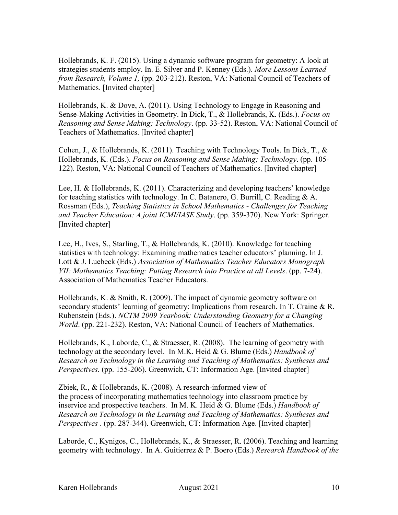Hollebrands, K. F. (2015). Using a dynamic software program for geometry: A look at strategies students employ. In. E. Silver and P. Kenney (Eds.). *More Lessons Learned from Research, Volume 1,* (pp. 203-212). Reston, VA: National Council of Teachers of Mathematics. [Invited chapter]

Hollebrands, K. & Dove, A. (2011). Using Technology to Engage in Reasoning and Sense-Making Activities in Geometry. In Dick, T., & Hollebrands, K. (Eds.). *Focus on Reasoning and Sense Making; Technology*. (pp. 33-52). Reston, VA: National Council of Teachers of Mathematics. [Invited chapter]

Cohen, J., & Hollebrands, K. (2011). Teaching with Technology Tools. In Dick, T., & Hollebrands, K. (Eds.). *Focus on Reasoning and Sense Making; Technology*. (pp. 105- 122). Reston, VA: National Council of Teachers of Mathematics. [Invited chapter]

Lee, H. & Hollebrands, K. (2011). Characterizing and developing teachers' knowledge for teaching statistics with technology. In C. Batanero, G. Burrill, C. Reading & A. Rossman (Eds.), *Teaching Statistics in School Mathematics - Challenges for Teaching and Teacher Education: A joint ICMI/IASE Study*. (pp. 359-370). New York: Springer. [Invited chapter]

Lee, H., Ives, S., Starling, T., & Hollebrands, K. (2010). Knowledge for teaching statistics with technology: Examining mathematics teacher educators' planning. In J. Lott & J. Luebeck (Eds.) *Association of Mathematics Teacher Educators Monograph VII: Mathematics Teaching: Putting Research into Practice at all Levels*. (pp. 7-24). Association of Mathematics Teacher Educators.

Hollebrands, K. & Smith, R. (2009). The impact of dynamic geometry software on secondary students' learning of geometry: Implications from research. In T. Craine & R. Rubenstein (Eds.). *NCTM 2009 Yearbook: Understanding Geometry for a Changing World*. (pp. 221-232). Reston, VA: National Council of Teachers of Mathematics.

Hollebrands, K., Laborde, C., & Straesser, R. (2008). The learning of geometry with technology at the secondary level. In M.K. Heid & G. Blume (Eds.) *Handbook of Research on Technology in the Learning and Teaching of Mathematics: Syntheses and Perspectives.* (pp. 155-206). Greenwich, CT: Information Age. [Invited chapter]

Zbiek, R., & Hollebrands, K. (2008). A research-informed view of the process of incorporating mathematics technology into classroom practice by inservice and prospective teachers. In M. K. Heid & G. Blume (Eds.) *Handbook of Research on Technology in the Learning and Teaching of Mathematics: Syntheses and Perspectives* . (pp. 287-344). Greenwich, CT: Information Age. [Invited chapter]

Laborde, C., Kynigos, C., Hollebrands, K., & Straesser, R. (2006). Teaching and learning geometry with technology. In A. Guitierrez & P. Boero (Eds.) *Research Handbook of the*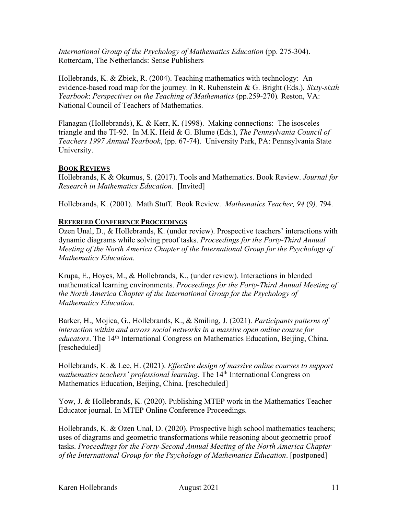*International Group of the Psychology of Mathematics Education* (pp. 275-304). Rotterdam, The Netherlands: Sense Publishers

Hollebrands, K. & Zbiek, R. (2004). Teaching mathematics with technology: An evidence-based road map for the journey. In R. Rubenstein & G. Bright (Eds.), *Sixty-sixth Yearbook*: *Perspectives on the Teaching of Mathematics* (pp.259-270)*.* Reston, VA: National Council of Teachers of Mathematics.

Flanagan (Hollebrands), K. & Kerr, K. (1998). Making connections: The isosceles triangle and the TI-92. In M.K. Heid & G. Blume (Eds.), *The Pennsylvania Council of Teachers 1997 Annual Yearbook*, (pp. 67-74). University Park, PA: Pennsylvania State University.

## **BOOK REVIEWS**

Hollebrands, K & Okumus, S. (2017). Tools and Mathematics. Book Review. *Journal for Research in Mathematics Education*. [Invited]

Hollebrands, K. (2001). Math Stuff. Book Review. *Mathematics Teacher, 94* (9*),* 794.

### **REFEREED CONFERENCE PROCEEDINGS**

Ozen Unal, D., & Hollebrands, K. (under review). Prospective teachers' interactions with dynamic diagrams while solving proof tasks. *Proceedings for the Forty-Third Annual Meeting of the North America Chapter of the International Group for the Psychology of Mathematics Education*.

Krupa, E., Hoyes, M., & Hollebrands, K., (under review). Interactions in blended mathematical learning environments. *Proceedings for the Forty-Third Annual Meeting of the North America Chapter of the International Group for the Psychology of Mathematics Education*.

Barker, H., Mojica, G., Hollebrands, K., & Smiling, J. (2021). *Participants patterns of interaction within and across social networks in a massive open online course for educators*. The 14<sup>th</sup> International Congress on Mathematics Education, Beijing, China. [rescheduled]

Hollebrands, K. & Lee, H. (2021). *Effective design of massive online courses to support mathematics teachers' professional learning*. The 14<sup>th</sup> International Congress on Mathematics Education, Beijing, China. [rescheduled]

Yow, J. & Hollebrands, K. (2020). Publishing MTEP work in the Mathematics Teacher Educator journal. In MTEP Online Conference Proceedings.

Hollebrands, K. & Ozen Unal, D. (2020). Prospective high school mathematics teachers; uses of diagrams and geometric transformations while reasoning about geometric proof tasks. *Proceedings for the Forty-Second Annual Meeting of the North America Chapter of the International Group for the Psychology of Mathematics Education*. [postponed]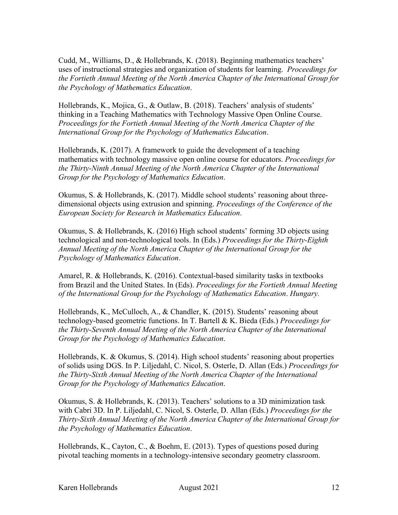Cudd, M., Williams, D., & Hollebrands, K. (2018). Beginning mathematics teachers' uses of instructional strategies and organization of students for learning. *Proceedings for the Fortieth Annual Meeting of the North America Chapter of the International Group for the Psychology of Mathematics Education*.

Hollebrands, K., Mojica, G., & Outlaw, B. (2018). Teachers' analysis of students' thinking in a Teaching Mathematics with Technology Massive Open Online Course. *Proceedings for the Fortieth Annual Meeting of the North America Chapter of the International Group for the Psychology of Mathematics Education*.

Hollebrands, K. (2017). A framework to guide the development of a teaching mathematics with technology massive open online course for educators. *Proceedings for the Thirty-Ninth Annual Meeting of the North America Chapter of the International Group for the Psychology of Mathematics Education*.

Okumus, S. & Hollebrands, K. (2017). Middle school students' reasoning about threedimensional objects using extrusion and spinning. *Proceedings of the Conference of the European Society for Research in Mathematics Education*.

Okumus, S. & Hollebrands, K. (2016) High school students' forming 3D objects using technological and non-technological tools. In (Eds.) *Proceedings for the Thirty-Eighth Annual Meeting of the North America Chapter of the International Group for the Psychology of Mathematics Education*.

Amarel, R. & Hollebrands, K. (2016). Contextual-based similarity tasks in textbooks from Brazil and the United States. In (Eds). *Proceedings for the Fortieth Annual Meeting of the International Group for the Psychology of Mathematics Education*. *Hungary.* 

Hollebrands, K., McCulloch, A., & Chandler, K. (2015). Students' reasoning about technology-based geometric functions. In T. Bartell & K. Bieda (Eds.) *Proceedings for the Thirty-Seventh Annual Meeting of the North America Chapter of the International Group for the Psychology of Mathematics Education*.

Hollebrands, K. & Okumus, S. (2014). High school students' reasoning about properties of solids using DGS. In P. Liljedahl, C. Nicol, S. Osterle, D. Allan (Eds.) *Proceedings for the Thirty-Sixth Annual Meeting of the North America Chapter of the International Group for the Psychology of Mathematics Education*.

Okumus, S. & Hollebrands, K. (2013). Teachers' solutions to a 3D minimization task with Cabri 3D. In P. Liljedahl, C. Nicol, S. Osterle, D. Allan (Eds.) *Proceedings for the Thirty-Sixth Annual Meeting of the North America Chapter of the International Group for the Psychology of Mathematics Education*.

Hollebrands, K., Cayton, C., & Boehm, E. (2013). Types of questions posed during pivotal teaching moments in a technology-intensive secondary geometry classroom.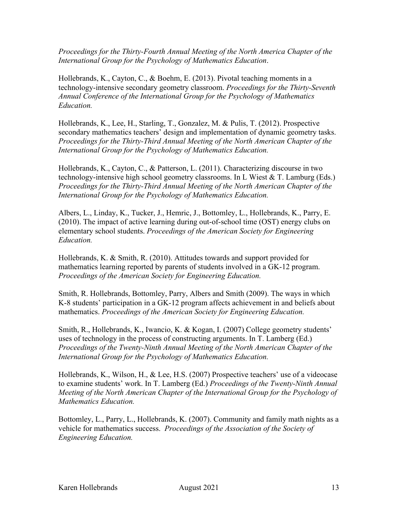*Proceedings for the Thirty-Fourth Annual Meeting of the North America Chapter of the International Group for the Psychology of Mathematics Education*.

Hollebrands, K., Cayton, C., & Boehm, E. (2013). Pivotal teaching moments in a technology-intensive secondary geometry classroom. *Proceedings for the Thirty-Seventh Annual Conference of the International Group for the Psychology of Mathematics Education.*

Hollebrands, K., Lee, H., Starling, T., Gonzalez, M. & Pulis, T. (2012). Prospective secondary mathematics teachers' design and implementation of dynamic geometry tasks. *Proceedings for the Thirty-Third Annual Meeting of the North American Chapter of the International Group for the Psychology of Mathematics Education.*

Hollebrands, K., Cayton, C., & Patterson, L. (2011). Characterizing discourse in two technology-intensive high school geometry classrooms. In L Wiest & T. Lamburg (Eds.) *Proceedings for the Thirty-Third Annual Meeting of the North American Chapter of the International Group for the Psychology of Mathematics Education.*

Albers, L., Linday, K., Tucker, J., Hemric, J., Bottomley, L., Hollebrands, K., Parry, E. (2010). The impact of active learning during out-of-school time (OST) energy clubs on elementary school students. *Proceedings of the American Society for Engineering Education.*

Hollebrands, K. & Smith, R. (2010). Attitudes towards and support provided for mathematics learning reported by parents of students involved in a GK-12 program. *Proceedings of the American Society for Engineering Education.*

Smith, R. Hollebrands, Bottomley, Parry, Albers and Smith (2009). The ways in which K-8 students' participation in a GK-12 program affects achievement in and beliefs about mathematics. *Proceedings of the American Society for Engineering Education.*

Smith, R., Hollebrands, K., Iwancio, K. & Kogan, I. (2007) College geometry students' uses of technology in the process of constructing arguments. In T. Lamberg (Ed.) *Proceedings of the Twenty-Ninth Annual Meeting of the North American Chapter of the International Group for the Psychology of Mathematics Education.*

Hollebrands, K., Wilson, H., & Lee, H.S. (2007) Prospective teachers' use of a videocase to examine students' work. In T. Lamberg (Ed.) *Proceedings of the Twenty-Ninth Annual Meeting of the North American Chapter of the International Group for the Psychology of Mathematics Education.*

Bottomley, L., Parry, L., Hollebrands, K. (2007). Community and family math nights as a vehicle for mathematics success. *Proceedings of the Association of the Society of Engineering Education.*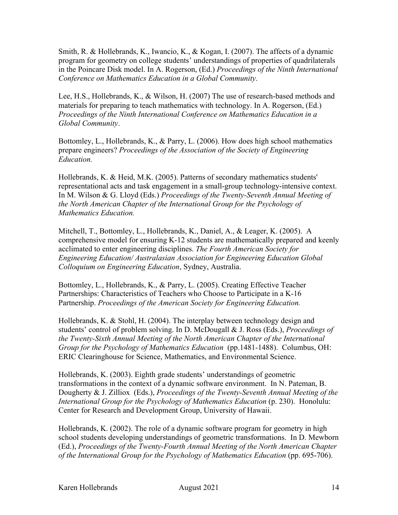Smith, R. & Hollebrands, K., Iwancio, K., & Kogan, I. (2007). The affects of a dynamic program for geometry on college students' understandings of properties of quadrilaterals in the Poincare Disk model. In A. Rogerson, (Ed.) *Proceedings of the Ninth International Conference on Mathematics Education in a Global Community*.

Lee, H.S., Hollebrands, K., & Wilson, H. (2007) The use of research-based methods and materials for preparing to teach mathematics with technology. In A. Rogerson, (Ed.) *Proceedings of the Ninth International Conference on Mathematics Education in a Global Community*.

Bottomley, L., Hollebrands, K., & Parry, L. (2006). How does high school mathematics prepare engineers? *Proceedings of the Association of the Society of Engineering Education.*

Hollebrands, K. & Heid, M.K. (2005). Patterns of secondary mathematics students' representational acts and task engagement in a small-group technology-intensive context. In M. Wilson & G. Lloyd (Eds.) *Proceedings of the Twenty-Seventh Annual Meeting of the North American Chapter of the International Group for the Psychology of Mathematics Education.* 

Mitchell, T., Bottomley, L., Hollebrands, K., Daniel, A., & Leager, K. (2005). A comprehensive model for ensuring K-12 students are mathematically prepared and keenly acclimated to enter engineering disciplines. *The Fourth American Society for Engineering Education/ Australasian Association for Engineering Education Global Colloquium on Engineering Education*, Sydney, Australia.

Bottomley, L., Hollebrands, K., & Parry, L. (2005). Creating Effective Teacher Partnerships: Characteristics of Teachers who Choose to Participate in a K-16 Partnership. *Proceedings of the American Society for Engineering Education.*

Hollebrands, K. & Stohl, H. (2004). The interplay between technology design and students' control of problem solving. In D. McDougall & J. Ross (Eds.), *Proceedings of the Twenty-Sixth Annual Meeting of the North American Chapter of the International Group for the Psychology of Mathematics Education* (pp.1481-1488). Columbus, OH: ERIC Clearinghouse for Science, Mathematics, and Environmental Science.

Hollebrands, K. (2003). Eighth grade students' understandings of geometric transformations in the context of a dynamic software environment. In N. Pateman, B. Dougherty & J. Zilliox (Eds.), *Proceedings of the Twenty-Seventh Annual Meeting of the International Group for the Psychology of Mathematics Education* (p. 230). Honolulu: Center for Research and Development Group, University of Hawaii.

Hollebrands, K. (2002). The role of a dynamic software program for geometry in high school students developing understandings of geometric transformations. In D. Mewborn (Ed.), *Proceedings of the Twenty-Fourth Annual Meeting of the North American Chapter of the International Group for the Psychology of Mathematics Education* (pp. 695-706).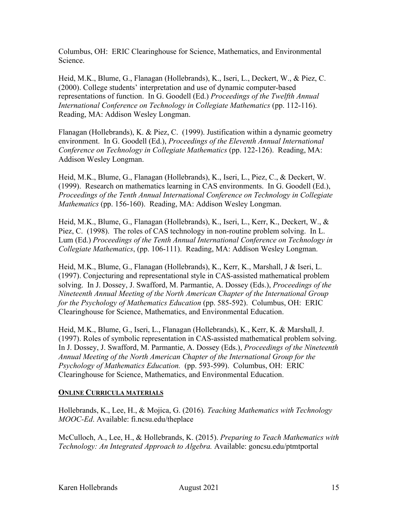Columbus, OH: ERIC Clearinghouse for Science, Mathematics, and Environmental Science.

Heid, M.K., Blume, G., Flanagan (Hollebrands), K., Iseri, L., Deckert, W., & Piez, C. (2000). College students' interpretation and use of dynamic computer-based representations of function. In G. Goodell (Ed.) *Proceedings of the Twelfth Annual International Conference on Technology in Collegiate Mathematics* (pp. 112-116). Reading, MA: Addison Wesley Longman.

Flanagan (Hollebrands), K. & Piez, C. (1999). Justification within a dynamic geometry environment. In G. Goodell (Ed.), *Proceedings of the Eleventh Annual International Conference on Technology in Collegiate Mathematics* (pp. 122-126). Reading, MA: Addison Wesley Longman.

Heid, M.K., Blume, G., Flanagan (Hollebrands), K., Iseri, L., Piez, C., & Deckert, W. (1999). Research on mathematics learning in CAS environments. In G. Goodell (Ed.), *Proceedings of the Tenth Annual International Conference on Technology in Collegiate Mathematics* (pp. 156-160). Reading, MA: Addison Wesley Longman.

Heid, M.K., Blume, G., Flanagan (Hollebrands), K., Iseri, L., Kerr, K., Deckert, W., & Piez, C. (1998). The roles of CAS technology in non-routine problem solving. In L. Lum (Ed.) *Proceedings of the Tenth Annual International Conference on Technology in Collegiate Mathematics*, (pp. 106-111). Reading, MA: Addison Wesley Longman.

Heid, M.K., Blume, G., Flanagan (Hollebrands), K., Kerr, K., Marshall, J & Iseri, L. (1997). Conjecturing and representational style in CAS-assisted mathematical problem solving. In J. Dossey, J. Swafford, M. Parmantie, A. Dossey (Eds.), *Proceedings of the Nineteenth Annual Meeting of the North American Chapter of the International Group for the Psychology of Mathematics Education* (pp. 585-592). Columbus, OH: ERIC Clearinghouse for Science, Mathematics, and Environmental Education.

Heid, M.K., Blume, G., Iseri, L., Flanagan (Hollebrands), K., Kerr, K. & Marshall, J. (1997). Roles of symbolic representation in CAS-assisted mathematical problem solving. In J. Dossey, J. Swafford, M. Parmantie, A. Dossey (Eds.), *Proceedings of the Nineteenth Annual Meeting of the North American Chapter of the International Group for the Psychology of Mathematics Education.* (pp. 593-599). Columbus, OH: ERIC Clearinghouse for Science, Mathematics, and Environmental Education.

#### **ONLINE CURRICULA MATERIALS**

Hollebrands, K., Lee, H., & Mojica, G. (2016)*. Teaching Mathematics with Technology MOOC-Ed*. Available: fi.ncsu.edu/theplace

McCulloch, A., Lee, H., & Hollebrands, K. (2015). *Preparing to Teach Mathematics with Technology: An Integrated Approach to Algebra.* Available: goncsu.edu/ptmtportal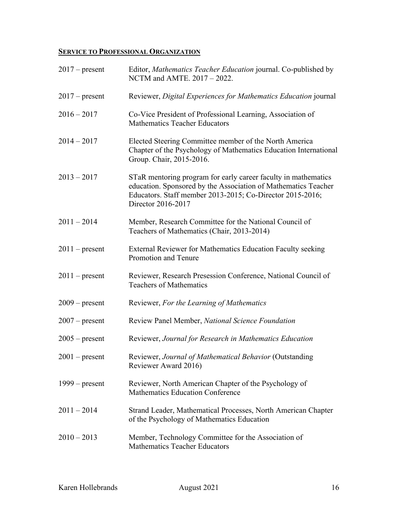# **SERVICE TO PROFESSIONAL ORGANIZATION**

| $2017$ – present | Editor, Mathematics Teacher Education journal. Co-published by<br>NCTM and AMTE. 2017 - 2022.                                                                                                                       |
|------------------|---------------------------------------------------------------------------------------------------------------------------------------------------------------------------------------------------------------------|
| $2017$ – present | Reviewer, Digital Experiences for Mathematics Education journal                                                                                                                                                     |
| $2016 - 2017$    | Co-Vice President of Professional Learning, Association of<br><b>Mathematics Teacher Educators</b>                                                                                                                  |
| $2014 - 2017$    | Elected Steering Committee member of the North America<br>Chapter of the Psychology of Mathematics Education International<br>Group. Chair, 2015-2016.                                                              |
| $2013 - 2017$    | STaR mentoring program for early career faculty in mathematics<br>education. Sponsored by the Association of Mathematics Teacher<br>Educators. Staff member 2013-2015; Co-Director 2015-2016;<br>Director 2016-2017 |
| $2011 - 2014$    | Member, Research Committee for the National Council of<br>Teachers of Mathematics (Chair, 2013-2014)                                                                                                                |
| $2011$ – present | External Reviewer for Mathematics Education Faculty seeking<br>Promotion and Tenure                                                                                                                                 |
| $2011$ – present | Reviewer, Research Presession Conference, National Council of<br><b>Teachers of Mathematics</b>                                                                                                                     |
| $2009$ – present | Reviewer, For the Learning of Mathematics                                                                                                                                                                           |
| $2007$ – present | Review Panel Member, National Science Foundation                                                                                                                                                                    |
| $2005$ – present | Reviewer, Journal for Research in Mathematics Education                                                                                                                                                             |
| $2001$ – present | Reviewer, Journal of Mathematical Behavior (Outstanding<br>Reviewer Award 2016)                                                                                                                                     |
| $1999$ – present | Reviewer, North American Chapter of the Psychology of<br><b>Mathematics Education Conference</b>                                                                                                                    |
| $2011 - 2014$    | Strand Leader, Mathematical Processes, North American Chapter<br>of the Psychology of Mathematics Education                                                                                                         |
| $2010 - 2013$    | Member, Technology Committee for the Association of<br><b>Mathematics Teacher Educators</b>                                                                                                                         |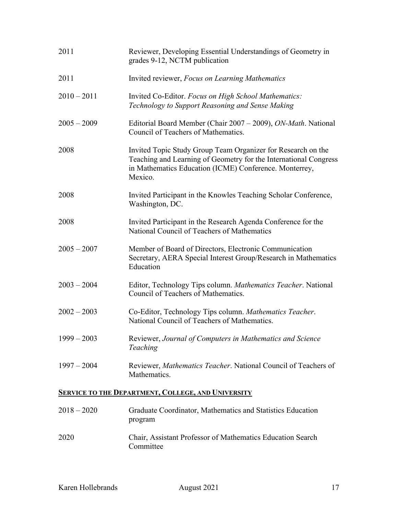| 2011                                                      | Reviewer, Developing Essential Understandings of Geometry in<br>grades 9-12, NCTM publication                                                                                                         |  |
|-----------------------------------------------------------|-------------------------------------------------------------------------------------------------------------------------------------------------------------------------------------------------------|--|
| 2011                                                      | Invited reviewer, Focus on Learning Mathematics                                                                                                                                                       |  |
| $2010 - 2011$                                             | Invited Co-Editor. Focus on High School Mathematics:<br>Technology to Support Reasoning and Sense Making                                                                                              |  |
| $2005 - 2009$                                             | Editorial Board Member (Chair 2007 – 2009), ON-Math. National<br>Council of Teachers of Mathematics.                                                                                                  |  |
| 2008                                                      | Invited Topic Study Group Team Organizer for Research on the<br>Teaching and Learning of Geometry for the International Congress<br>in Mathematics Education (ICME) Conference. Monterrey,<br>Mexico. |  |
| 2008                                                      | Invited Participant in the Knowles Teaching Scholar Conference,<br>Washington, DC.                                                                                                                    |  |
| 2008                                                      | Invited Participant in the Research Agenda Conference for the<br>National Council of Teachers of Mathematics                                                                                          |  |
| $2005 - 2007$                                             | Member of Board of Directors, Electronic Communication<br>Secretary, AERA Special Interest Group/Research in Mathematics<br>Education                                                                 |  |
| $2003 - 2004$                                             | Editor, Technology Tips column. Mathematics Teacher. National<br>Council of Teachers of Mathematics.                                                                                                  |  |
| $2002 - 2003$                                             | Co-Editor, Technology Tips column. Mathematics Teacher.<br>National Council of Teachers of Mathematics.                                                                                               |  |
| $1999 - 2003$                                             | Reviewer, Journal of Computers in Mathematics and Science<br>Teaching                                                                                                                                 |  |
| $1997 - 2004$                                             | Reviewer, Mathematics Teacher. National Council of Teachers of<br>Mathematics.                                                                                                                        |  |
| <b>SERVICE TO THE DEPARTMENT, COLLEGE, AND UNIVERSITY</b> |                                                                                                                                                                                                       |  |
| $2018 - 2020$                                             | Graduate Coordinator Mathematics and Statistics Education                                                                                                                                             |  |

| $\angle U10 = \angle U \angle U$ | Graduate Coordinator, Mathematics and Statistics Education<br>program   |
|----------------------------------|-------------------------------------------------------------------------|
| 2020                             | Chair, Assistant Professor of Mathematics Education Search<br>Committee |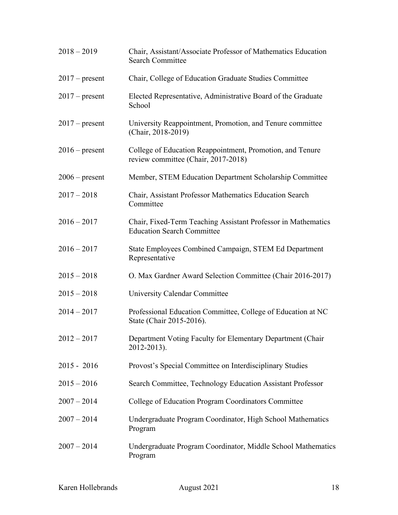| $2018 - 2019$    | Chair, Assistant/Associate Professor of Mathematics Education<br><b>Search Committee</b>           |
|------------------|----------------------------------------------------------------------------------------------------|
| $2017$ – present | Chair, College of Education Graduate Studies Committee                                             |
| $2017$ – present | Elected Representative, Administrative Board of the Graduate<br>School                             |
| $2017$ – present | University Reappointment, Promotion, and Tenure committee<br>(Chair, 2018-2019)                    |
| $2016$ – present | College of Education Reappointment, Promotion, and Tenure<br>review committee (Chair, 2017-2018)   |
| $2006$ – present | Member, STEM Education Department Scholarship Committee                                            |
| $2017 - 2018$    | Chair, Assistant Professor Mathematics Education Search<br>Committee                               |
| $2016 - 2017$    | Chair, Fixed-Term Teaching Assistant Professor in Mathematics<br><b>Education Search Committee</b> |
| $2016 - 2017$    | State Employees Combined Campaign, STEM Ed Department<br>Representative                            |
| $2015 - 2018$    | O. Max Gardner Award Selection Committee (Chair 2016-2017)                                         |
| $2015 - 2018$    | University Calendar Committee                                                                      |
| $2014 - 2017$    | Professional Education Committee, College of Education at NC<br>State (Chair 2015-2016).           |
| $2012 - 2017$    | Department Voting Faculty for Elementary Department (Chair<br>2012-2013).                          |
| $2015 - 2016$    | Provost's Special Committee on Interdisciplinary Studies                                           |
| $2015 - 2016$    | Search Committee, Technology Education Assistant Professor                                         |
| $2007 - 2014$    | College of Education Program Coordinators Committee                                                |
| $2007 - 2014$    | Undergraduate Program Coordinator, High School Mathematics<br>Program                              |
| $2007 - 2014$    | Undergraduate Program Coordinator, Middle School Mathematics<br>Program                            |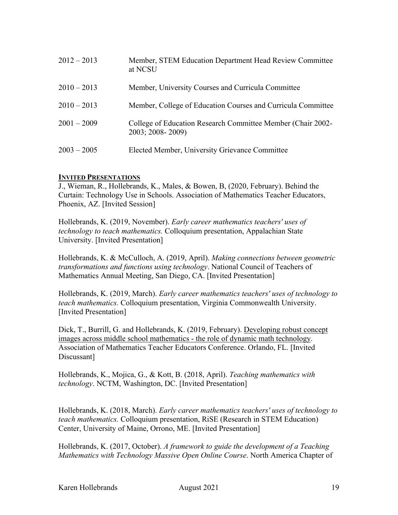| $2012 - 2013$ | Member, STEM Education Department Head Review Committee<br>at NCSU              |
|---------------|---------------------------------------------------------------------------------|
| $2010 - 2013$ | Member, University Courses and Curricula Committee                              |
| $2010 - 2013$ | Member, College of Education Courses and Curricula Committee                    |
| $2001 - 2009$ | College of Education Research Committee Member (Chair 2002-<br>2003; 2008-2009) |
| $2003 - 2005$ | Elected Member, University Grievance Committee                                  |

### **INVITED PRESENTATIONS**

J., Wieman, R., Hollebrands, K., Males, & Bowen, B, (2020, February). Behind the Curtain: Technology Use in Schools. Association of Mathematics Teacher Educators, Phoenix, AZ. [Invited Session]

Hollebrands, K. (2019, November). *Early career mathematics teachers' uses of technology to teach mathematics.* Colloquium presentation, Appalachian State University. [Invited Presentation]

Hollebrands, K. & McCulloch, A. (2019, April). *Making connections between geometric transformations and functions using technology*. National Council of Teachers of Mathematics Annual Meeting, San Diego, CA. [Invited Presentation]

Hollebrands, K. (2019, March). *Early career mathematics teachers' uses of technology to teach mathematics.* Colloquium presentation, Virginia Commonwealth University. [Invited Presentation]

Dick, T., Burrill, G. and Hollebrands, K. (2019, February). Developing robust concept images across middle school mathematics - the role of dynamic math technology. Association of Mathematics Teacher Educators Conference. Orlando, FL. [Invited Discussant]

Hollebrands, K., Mojica, G., & Kott, B. (2018, April). *Teaching mathematics with technology*. NCTM, Washington, DC. [Invited Presentation]

Hollebrands, K. (2018, March). *Early career mathematics teachers' uses of technology to teach mathematics.* Colloquium presentation, RiSE (Research in STEM Education) Center, University of Maine, Orrono, ME. [Invited Presentation]

Hollebrands, K. (2017, October). *A framework to guide the development of a Teaching Mathematics with Technology Massive Open Online Course*. North America Chapter of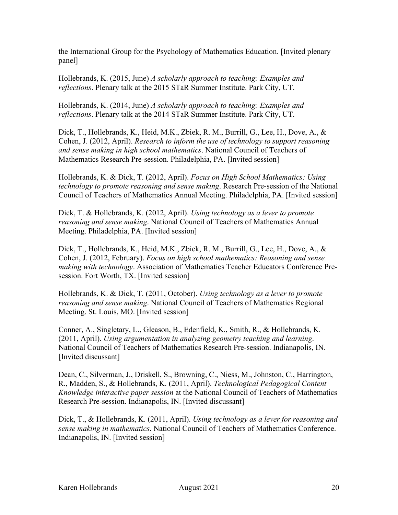the International Group for the Psychology of Mathematics Education. [Invited plenary panel]

Hollebrands, K. (2015, June) *A scholarly approach to teaching: Examples and reflections*. Plenary talk at the 2015 STaR Summer Institute. Park City, UT.

Hollebrands, K. (2014, June) *A scholarly approach to teaching: Examples and reflections*. Plenary talk at the 2014 STaR Summer Institute. Park City, UT.

Dick, T., Hollebrands, K., Heid, M.K., Zbiek, R. M., Burrill, G., Lee, H., Dove, A., & Cohen, J. (2012, April). *Research to inform the use of technology to support reasoning and sense making in high school mathematics*. National Council of Teachers of Mathematics Research Pre-session. Philadelphia, PA. [Invited session]

Hollebrands, K. & Dick, T. (2012, April). *Focus on High School Mathematics: Using technology to promote reasoning and sense making*. Research Pre-session of the National Council of Teachers of Mathematics Annual Meeting. Philadelphia, PA. [Invited session]

Dick, T. & Hollebrands, K. (2012, April). *Using technology as a lever to promote reasoning and sense making*. National Council of Teachers of Mathematics Annual Meeting. Philadelphia, PA. [Invited session]

Dick, T., Hollebrands, K., Heid, M.K., Zbiek, R. M., Burrill, G., Lee, H., Dove, A., & Cohen, J. (2012, February). *Focus on high school mathematics: Reasoning and sense making with technology*. Association of Mathematics Teacher Educators Conference Presession. Fort Worth, TX. [Invited session]

Hollebrands, K. & Dick, T. (2011, October). *Using technology as a lever to promote reasoning and sense making*. National Council of Teachers of Mathematics Regional Meeting. St. Louis, MO. [Invited session]

Conner, A., Singletary, L., Gleason, B., Edenfield, K., Smith, R., & Hollebrands, K. (2011, April). *Using argumentation in analyzing geometry teaching and learning*. National Council of Teachers of Mathematics Research Pre-session. Indianapolis, IN. [Invited discussant]

Dean, C., Silverman, J., Driskell, S., Browning, C., Niess, M., Johnston, C., Harrington, R., Madden, S., & Hollebrands, K. (2011, April). *Technological Pedagogical Content Knowledge interactive paper session* at the National Council of Teachers of Mathematics Research Pre-session. Indianapolis, IN. [Invited discussant]

Dick, T., & Hollebrands, K. (2011, April). *Using technology as a lever for reasoning and sense making in mathematics*. National Council of Teachers of Mathematics Conference. Indianapolis, IN. [Invited session]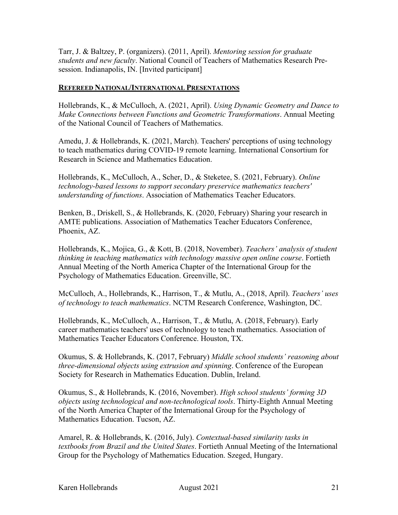Tarr, J. & Baltzey, P. (organizers). (2011, April). *Mentoring session for graduate students and new faculty*. National Council of Teachers of Mathematics Research Presession. Indianapolis, IN. [Invited participant]

#### **REFEREED NATIONAL/INTERNATIONAL PRESENTATIONS**

Hollebrands, K., & McCulloch, A. (2021, April). *Using Dynamic Geometry and Dance to Make Connections between Functions and Geometric Transformations*. Annual Meeting of the National Council of Teachers of Mathematics.

Amedu, J. & Hollebrands, K. (2021, March). Teachers' perceptions of using technology to teach mathematics during COVID-19 remote learning. International Consortium for Research in Science and Mathematics Education.

Hollebrands, K., McCulloch, A., Scher, D., & Steketee, S. (2021, February). *Online technology-based lessons to support secondary preservice mathematics teachers' understanding of functions*. Association of Mathematics Teacher Educators.

Benken, B., Driskell, S., & Hollebrands, K. (2020, February) Sharing your research in AMTE publications. Association of Mathematics Teacher Educators Conference, Phoenix, AZ.

Hollebrands, K., Mojica, G., & Kott, B. (2018, November). *Teachers' analysis of student thinking in teaching mathematics with technology massive open online course*. Fortieth Annual Meeting of the North America Chapter of the International Group for the Psychology of Mathematics Education. Greenville, SC.

McCulloch, A., Hollebrands, K., Harrison, T., & Mutlu, A., (2018, April). *Teachers' uses of technology to teach mathematics*. NCTM Research Conference, Washington, DC.

Hollebrands, K., McCulloch, A., Harrison, T., & Mutlu, A. (2018, February). Early career mathematics teachers' uses of technology to teach mathematics. Association of Mathematics Teacher Educators Conference. Houston, TX.

Okumus, S. & Hollebrands, K. (2017, February) *Middle school students' reasoning about three-dimensional objects using extrusion and spinning*. Conference of the European Society for Research in Mathematics Education. Dublin, Ireland.

Okumus, S., & Hollebrands, K. (2016, November). *High school students' forming 3D objects using technological and non-technological tools*. Thirty-Eighth Annual Meeting of the North America Chapter of the International Group for the Psychology of Mathematics Education. Tucson, AZ.

Amarel, R. & Hollebrands, K. (2016, July). *Contextual-based similarity tasks in textbooks from Brazil and the United States*. Fortieth Annual Meeting of the International Group for the Psychology of Mathematics Education. Szeged, Hungary.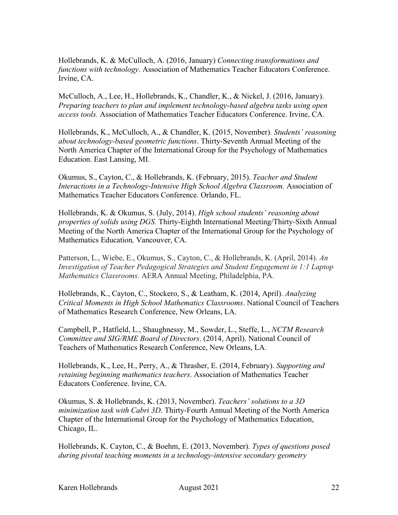Hollebrands, K. & McCulloch, A. (2016, January) *Connecting transformations and functions with technology*. Association of Mathematics Teacher Educators Conference. Irvine, CA.

McCulloch, A., Lee, H., Hollebrands, K., Chandler, K., & Nickel, J. (2016, January). *Preparing teachers to plan and implement technology-based algebra tasks using open access tools.* Association of Mathematics Teacher Educators Conference. Irvine, CA.

Hollebrands, K., McCulloch, A., & Chandler, K. (2015, November). *Students' reasoning about technology-based geometric functions*. Thirty-Seventh Annual Meeting of the North America Chapter of the International Group for the Psychology of Mathematics Education. East Lansing, MI.

Okumus, S., Cayton, C., & Hollebrands, K. (February, 2015). *Teacher and Student Interactions in a Technology-Intensive High School Algebra Classroom.* Association of Mathematics Teacher Educators Conference. Orlando, FL.

Hollebrands, K. & Okumus, S. (July, 2014). *High school students' reasoning about properties of solids using DGS.* Thirty-Eighth International Meeting/Thirty-Sixth Annual Meeting of the North America Chapter of the International Group for the Psychology of Mathematics Education*,* Vancouver, CA.

Patterson, L., Wiebe, E., Okumus, S., Cayton, C., & Hollebrands, K. (April, 2014). *An Investigation of Teacher Pedagogical Strategies and Student Engagement in 1:1 Laptop Mathematics Classrooms*. AERA Annual Meeting, Philadelphia, PA.

Hollebrands, K., Cayton, C., Stockero, S., & Leatham, K. (2014, April). *Analyzing Critical Moments in High School Mathematics Classrooms*. National Council of Teachers of Mathematics Research Conference, New Orleans, LA.

Campbell, P., Hatfield, L., Shaughnessy, M., Sowder, L., Steffe, L., *NCTM Research Committee and SIG/RME Board of Directors*. (2014, April). National Council of Teachers of Mathematics Research Conference, New Orleans, LA.

Hollebrands, K., Lee, H., Perry, A., & Thrasher, E. (2014, February). *Supporting and retaining beginning mathematics teachers*. Association of Mathematics Teacher Educators Conference. Irvine, CA.

Okumus, S. & Hollebrands, K. (2013, November). *Teachers' solutions to a 3D minimization task with Cabri 3D*. Thirty-Fourth Annual Meeting of the North America Chapter of the International Group for the Psychology of Mathematics Education, Chicago, IL.

Hollebrands, K. Cayton, C., & Boehm, E. (2013, November). *Types of questions posed during pivotal teaching moments in a technology-intensive secondary geometry*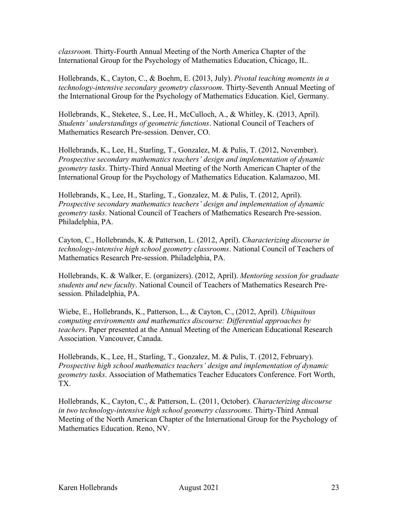*classroom.* Thirty-Fourth Annual Meeting of the North America Chapter of the International Group for the Psychology of Mathematics Education, Chicago, IL.

Hollebrands, K., Cayton, C., & Boehm, E. (2013, July). *Pivotal teaching moments in a technology-intensive secondary geometry classroom*. Thirty-Seventh Annual Meeting of the International Group for the Psychology of Mathematics Education. Kiel, Germany.

Hollebrands, K., Steketee, S., Lee, H., McCulloch, A., & Whitley, K. (2013, April). *Students' understandings of geometric functions*. National Council of Teachers of Mathematics Research Pre-session. Denver, CO.

Hollebrands, K., Lee, H., Starling, T., Gonzalez, M. & Pulis, T. (2012, November). *Prospective secondary mathematics teachers' design and implementation of dynamic geometry tasks*. Thirty-Third Annual Meeting of the North American Chapter of the International Group for the Psychology of Mathematics Education. Kalamazoo, MI.

Hollebrands, K., Lee, H., Starling, T., Gonzalez, M. & Pulis, T. (2012, April). *Prospective secondary mathematics teachers' design and implementation of dynamic geometry tasks*. National Council of Teachers of Mathematics Research Pre-session. Philadelphia, PA.

Cayton, C., Hollebrands, K. & Patterson, L. (2012, April). *Characterizing discourse in technology-intensive high school geometry classrooms*. National Council of Teachers of Mathematics Research Pre-session. Philadelphia, PA.

Hollebrands, K. & Walker, E. (organizers). (2012, April). *Mentoring session for graduate students and new faculty*. National Council of Teachers of Mathematics Research Presession. Philadelphia, PA.

Wiebe, E., Hollebrands, K., Patterson, L., & Cayton, C., (2012, April). *Ubiquitous computing environments and mathematics discourse: Differential approaches by teachers*. Paper presented at the Annual Meeting of the American Educational Research Association. Vancouver, Canada.

Hollebrands, K., Lee, H., Starling, T., Gonzalez, M. & Pulis, T. (2012, February). *Prospective high school mathematics teachers' design and implementation of dynamic geometry tasks*. Association of Mathematics Teacher Educators Conference. Fort Worth, TX.

Hollebrands, K., Cayton, C., & Patterson, L. (2011, October). *Characterizing discourse in two technology-intensive high school geometry classrooms*. Thirty-Third Annual Meeting of the North American Chapter of the International Group for the Psychology of Mathematics Education. Reno, NV.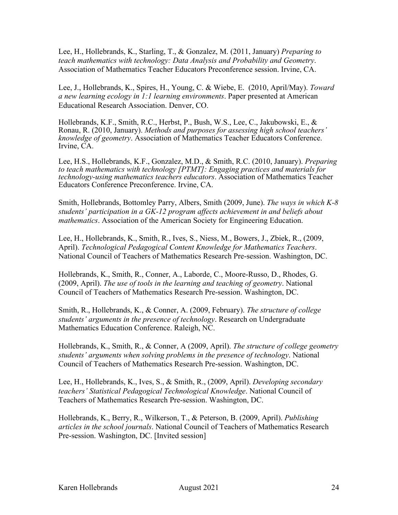Lee, H., Hollebrands, K., Starling, T., & Gonzalez, M. (2011, January) *Preparing to teach mathematics with technology: Data Analysis and Probability and Geometry*. Association of Mathematics Teacher Educators Preconference session. Irvine, CA.

Lee, J., Hollebrands, K., Spires, H., Young, C. & Wiebe, E. (2010, April/May). *Toward a new learning ecology in 1:1 learning environments*. Paper presented at American Educational Research Association. Denver, CO.

Hollebrands, K.F., Smith, R.C., Herbst, P., Bush, W.S., Lee, C., Jakubowski, E., & Ronau, R. (2010, January). *Methods and purposes for assessing high school teachers' knowledge of geometry*. Association of Mathematics Teacher Educators Conference. Irvine, CA.

Lee, H.S., Hollebrands, K.F., Gonzalez, M.D., & Smith, R.C. (2010, January). *Preparing to teach mathematics with technology [PTMT]: Engaging practices and materials for technology-using mathematics teachers educators*. Association of Mathematics Teacher Educators Conference Preconference. Irvine, CA.

Smith, Hollebrands, Bottomley Parry, Albers, Smith (2009, June). *The ways in which K-8 students' participation in a GK-12 program affects achievement in and beliefs about mathematics*. Association of the American Society for Engineering Education.

Lee, H., Hollebrands, K., Smith, R., Ives, S., Niess, M., Bowers, J., Zbiek, R., (2009, April). *Technological Pedagogical Content Knowledge for Mathematics Teachers*. National Council of Teachers of Mathematics Research Pre-session. Washington, DC.

Hollebrands, K., Smith, R., Conner, A., Laborde, C., Moore-Russo, D., Rhodes, G. (2009, April). *The use of tools in the learning and teaching of geometry*. National Council of Teachers of Mathematics Research Pre-session. Washington, DC.

Smith, R., Hollebrands, K., & Conner, A. (2009, February). *The structure of college students' arguments in the presence of technology*. Research on Undergraduate Mathematics Education Conference. Raleigh, NC.

Hollebrands, K., Smith, R., & Conner, A (2009, April). *The structure of college geometry students' arguments when solving problems in the presence of technology*. National Council of Teachers of Mathematics Research Pre-session. Washington, DC.

Lee, H., Hollebrands, K., Ives, S., & Smith, R., (2009, April). *Developing secondary teachers' Statistical Pedagogical Technological Knowledge*. National Council of Teachers of Mathematics Research Pre-session. Washington, DC.

Hollebrands, K., Berry, R., Wilkerson, T., & Peterson, B. (2009, April). *Publishing articles in the school journals*. National Council of Teachers of Mathematics Research Pre-session. Washington, DC. [Invited session]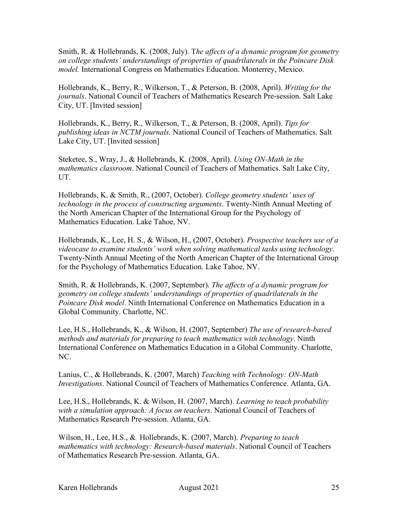Smith, R. & Hollebrands, K. (2008, July). T*he affects of a dynamic program for geometry on college students' understandings of properties of quadrilaterals in the Poincare Disk model.* International Congress on Mathematics Education. Monterrey, Mexico.

Hollebrands, K., Berry, R., Wilkerson, T., & Peterson, B. (2008, April). *Writing for the journals*. National Council of Teachers of Mathematics Research Pre-session. Salt Lake City, UT. [Invited session]

Hollebrands, K., Berry, R., Wilkerson, T., & Peterson, B. (2008, April). *Tips for publishing ideas in NCTM journals.* National Council of Teachers of Mathematics. Salt Lake City, UT. [Invited session]

Steketee, S., Wray, J., & Hollebrands, K. (2008, April). *Using ON-Math in the mathematics classroom*. National Council of Teachers of Mathematics. Salt Lake City, UT.

Hollebrands, K. & Smith, R., (2007, October). *College geometry students' uses of technology in the process of constructing arguments*. Twenty-Ninth Annual Meeting of the North American Chapter of the International Group for the Psychology of Mathematics Education. Lake Tahoe, NV.

Hollebrands, K., Lee, H. S., & Wilson, H., (2007, October). *Prospective teachers use of a videocase to examine students' work when solving mathematical tasks using technology*. Twenty-Ninth Annual Meeting of the North American Chapter of the International Group for the Psychology of Mathematics Education. Lake Tahoe, NV.

Smith, R. & Hollebrands, K. (2007, September). *The affects of a dynamic program for geometry on college students' understandings of properties of quadrilaterals in the Poincare Disk model*. Ninth International Conference on Mathematics Education in a Global Community. Charlotte, NC.

Lee, H.S., Hollebrands, K., & Wilson, H. (2007, September) *The use of research-based methods and materials for preparing to teach mathematics with technology*. Ninth International Conference on Mathematics Education in a Global Community. Charlotte, NC.

Lanius, C., & Hollebrands, K. (2007, March) *Teaching with Technology: ON-Math Investigations*. National Council of Teachers of Mathematics Conference. Atlanta, GA.

Lee, H.S., Hollebrands, K. & Wilson, H. (2007, March). *Learning to teach probability with a simulation approach: A focus on teachers*. National Council of Teachers of Mathematics Research Pre-session. Atlanta, GA.

Wilson, H., Lee, H.S., & Hollebrands, K. (2007, March). *Preparing to teach mathematics with technology: Research-based materials*. National Council of Teachers of Mathematics Research Pre-session. Atlanta, GA.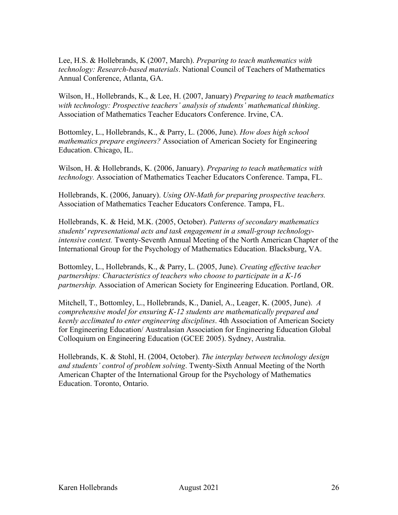Lee, H.S. & Hollebrands, K (2007, March). *Preparing to teach mathematics with technology: Research-based materials*. National Council of Teachers of Mathematics Annual Conference, Atlanta, GA.

Wilson, H., Hollebrands, K., & Lee, H. (2007, January) *Preparing to teach mathematics with technology: Prospective teachers' analysis of students' mathematical thinking*. Association of Mathematics Teacher Educators Conference. Irvine, CA.

Bottomley, L., Hollebrands, K., & Parry, L. (2006, June). *How does high school mathematics prepare engineers?* Association of American Society for Engineering Education. Chicago, IL.

Wilson, H. & Hollebrands, K. (2006, January). *Preparing to teach mathematics with technology.* Association of Mathematics Teacher Educators Conference. Tampa, FL.

Hollebrands, K. (2006, January). *Using ON-Math for preparing prospective teachers.* Association of Mathematics Teacher Educators Conference. Tampa, FL.

Hollebrands, K. & Heid, M.K. (2005, October). *Patterns of secondary mathematics students' representational acts and task engagement in a small-group technologyintensive context.* Twenty-Seventh Annual Meeting of the North American Chapter of the International Group for the Psychology of Mathematics Education. Blacksburg, VA.

Bottomley, L., Hollebrands, K., & Parry, L. (2005, June). *Creating effective teacher partnerships: Characteristics of teachers who choose to participate in a K-16 partnership.* Association of American Society for Engineering Education. Portland, OR.

Mitchell, T., Bottomley, L., Hollebrands, K., Daniel, A., Leager, K. (2005, June). *A comprehensive model for ensuring K-12 students are mathematically prepared and keenly acclimated to enter engineering disciplines*. 4th Association of American Society for Engineering Education/ Australasian Association for Engineering Education Global Colloquium on Engineering Education (GCEE 2005). Sydney, Australia.

Hollebrands, K. & Stohl, H. (2004, October). *The interplay between technology design and students' control of problem solving*. Twenty-Sixth Annual Meeting of the North American Chapter of the International Group for the Psychology of Mathematics Education. Toronto, Ontario.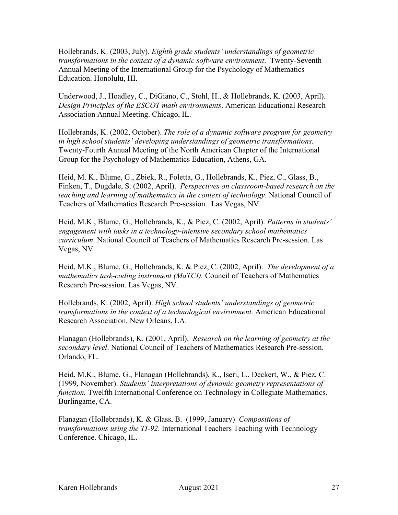Hollebrands, K. (2003, July). *Eighth grade students' understandings of geometric transformations in the context of a dynamic software environment*. Twenty-Seventh Annual Meeting of the International Group for the Psychology of Mathematics Education. Honolulu, HI.

Underwood, J., Hoadley, C., DiGiano, C., Stohl, H., & Hollebrands, K. (2003, April). *Design Principles of the ESCOT math environments*. American Educational Research Association Annual Meeting. Chicago, IL.

Hollebrands, K. (2002, October). *The role of a dynamic software program for geometry in high school students' developing understandings of geometric transformations.* Twenty-Fourth Annual Meeting of the North American Chapter of the International Group for the Psychology of Mathematics Education, Athens, GA.

Heid, M. K., Blume, G., Zbiek, R., Foletta, G., Hollebrands, K., Piez, C., Glass, B., Finken, T., Dugdale, S. (2002, April). *Perspectives on classroom-based research on the teaching and learning of mathematics in the context of technology*. National Council of Teachers of Mathematics Research Pre-session. Las Vegas, NV.

Heid, M.K., Blume, G., Hollebrands, K., & Piez, C. (2002, April). *Patterns in students' engagement with tasks in a technology-intensive secondary school mathematics curriculum*. National Council of Teachers of Mathematics Research Pre-session. Las Vegas, NV.

Heid, M.K., Blume, G., Hollebrands, K. & Piez, C. (2002, April). *The development of a mathematics task-coding instrument (MaTCI).* Council of Teachers of Mathematics Research Pre-session. Las Vegas, NV.

Hollebrands, K. (2002, April). *High school students' understandings of geometric transformations in the context of a technological environment.* American Educational Research Association. New Orleans, LA.

Flanagan (Hollebrands), K. (2001, April). *Research on the learning of geometry at the secondary level*. National Council of Teachers of Mathematics Research Pre-session. Orlando, FL.

Heid, M.K., Blume, G., Flanagan (Hollebrands), K., Iseri, L., Deckert, W., & Piez, C. (1999, November). *Students' interpretations of dynamic geometry representations of function.* Twelfth International Conference on Technology in Collegiate Mathematics. Burlingame, CA.

Flanagan (Hollebrands), K. & Glass, B. (1999, January) *Compositions of transformations using the TI-92*. International Teachers Teaching with Technology Conference. Chicago, IL.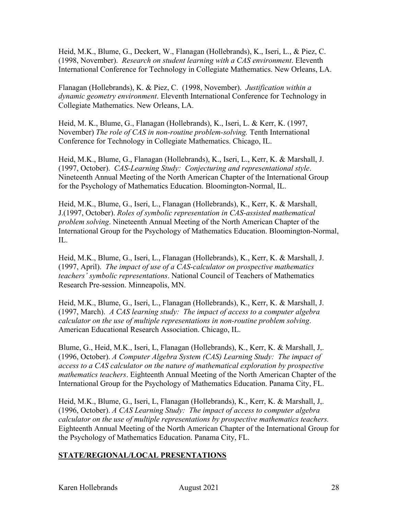Heid, M.K., Blume, G., Deckert, W., Flanagan (Hollebrands), K., Iseri, L., & Piez, C. (1998, November). *Research on student learning with a CAS environment*. Eleventh International Conference for Technology in Collegiate Mathematics. New Orleans, LA.

Flanagan (Hollebrands), K. & Piez, C. (1998, November). *Justification within a dynamic geometry environment*. Eleventh International Conference for Technology in Collegiate Mathematics. New Orleans, LA.

Heid, M. K., Blume, G., Flanagan (Hollebrands), K., Iseri, L. & Kerr, K. (1997, November) *The role of CAS in non-routine problem-solving.* Tenth International Conference for Technology in Collegiate Mathematics. Chicago, IL.

Heid, M.K., Blume, G., Flanagan (Hollebrands), K., Iseri, L., Kerr, K. & Marshall, J. (1997, October). *CAS-Learning Study: Conjecturing and representational style*. Nineteenth Annual Meeting of the North American Chapter of the International Group for the Psychology of Mathematics Education. Bloomington-Normal, IL.

Heid, M.K., Blume, G., Iseri, L., Flanagan (Hollebrands), K., Kerr, K. & Marshall, J.(1997, October). *Roles of symbolic representation in CAS-assisted mathematical problem solving*. Nineteenth Annual Meeting of the North American Chapter of the International Group for the Psychology of Mathematics Education. Bloomington-Normal, IL.

Heid, M.K., Blume, G., Iseri, L., Flanagan (Hollebrands), K., Kerr, K. & Marshall, J. (1997, April). *The impact of use of a CAS-calculator on prospective mathematics teachers' symbolic representations*. National Council of Teachers of Mathematics Research Pre-session. Minneapolis, MN.

Heid, M.K., Blume, G., Iseri, L., Flanagan (Hollebrands), K., Kerr, K. & Marshall, J. (1997, March). *A CAS learning study: The impact of access to a computer algebra calculator on the use of multiple representations in non-routine problem solving*. American Educational Research Association. Chicago, IL.

Blume, G., Heid, M.K., Iseri, L, Flanagan (Hollebrands), K., Kerr, K. & Marshall, J,. (1996, October). *A Computer Algebra System (CAS) Learning Study: The impact of access to a CAS calculator on the nature of mathematical exploration by prospective mathematics teachers*. Eighteenth Annual Meeting of the North American Chapter of the International Group for the Psychology of Mathematics Education. Panama City, FL.

Heid, M.K., Blume, G., Iseri, L, Flanagan (Hollebrands), K., Kerr, K. & Marshall, J,. (1996, October). *A CAS Learning Study: The impact of access to computer algebra calculator on the use of multiple representations by prospective mathematics teachers.* Eighteenth Annual Meeting of the North American Chapter of the International Group for the Psychology of Mathematics Education. Panama City, FL.

# **STATE/REGIONAL/LOCAL PRESENTATIONS**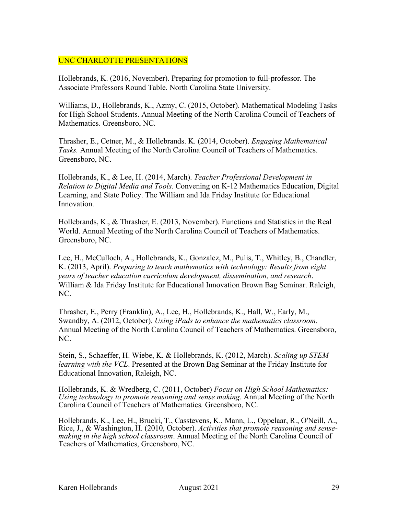## UNC CHARLOTTE PRESENTATIONS

Hollebrands, K. (2016, November). Preparing for promotion to full-professor. The Associate Professors Round Table. North Carolina State University.

Williams, D., Hollebrands, K., Azmy, C. (2015, October). Mathematical Modeling Tasks for High School Students. Annual Meeting of the North Carolina Council of Teachers of Mathematics. Greensboro, NC.

Thrasher, E., Cetner, M., & Hollebrands. K. (2014, October). *Engaging Mathematical Tasks.* Annual Meeting of the North Carolina Council of Teachers of Mathematics. Greensboro, NC.

Hollebrands, K., & Lee, H. (2014, March). *Teacher Professional Development in Relation to Digital Media and Tools*. Convening on K-12 Mathematics Education, Digital Learning, and State Policy. The William and Ida Friday Institute for Educational Innovation.

Hollebrands, K., & Thrasher, E. (2013, November). Functions and Statistics in the Real World. Annual Meeting of the North Carolina Council of Teachers of Mathematics. Greensboro, NC.

Lee, H., McCulloch, A., Hollebrands, K., Gonzalez, M., Pulis, T., Whitley, B., Chandler, K. (2013, April). *Preparing to teach mathematics with technology: Results from eight years of teacher education curriculum development, dissemination, and research*. William & Ida Friday Institute for Educational Innovation Brown Bag Seminar. Raleigh, NC.

Thrasher, E., Perry (Franklin), A., Lee, H., Hollebrands, K., Hall, W., Early, M., Swandby, A. (2012, October). *Using iPads to enhance the mathematics classroom*. Annual Meeting of the North Carolina Council of Teachers of Mathematics. Greensboro, NC.

Stein, S., Schaeffer, H. Wiebe, K. & Hollebrands, K. (2012, March). *Scaling up STEM learning with the VCL*. Presented at the Brown Bag Seminar at the Friday Institute for Educational Innovation, Raleigh, NC.

Hollebrands, K. & Wredberg, C. (2011, October) *Focus on High School Mathematics: Using technology to promote reasoning and sense making*. Annual Meeting of the North Carolina Council of Teachers of Mathematics*.* Greensboro, NC.

Hollebrands, K., Lee, H., Brucki, T., Casstevens, K., Mann, L., Oppelaar, R., O'Neill, A., Rice, J., & Washington, H. (2010, October). *Activities that promote reasoning and sensemaking in the high school classroom*. Annual Meeting of the North Carolina Council of Teachers of Mathematics, Greensboro, NC.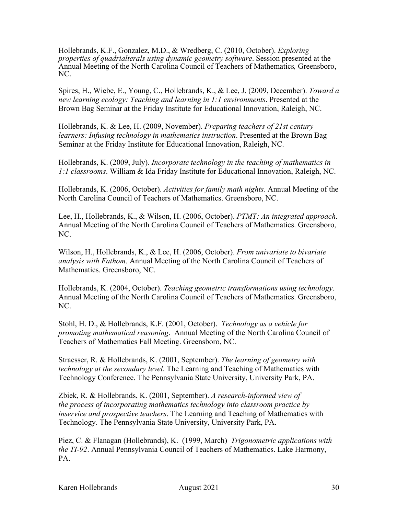Hollebrands, K.F., Gonzalez, M.D., & Wredberg, C. (2010, October). *Exploring properties of quadrialterals using dynamic geometry software*. Session presented at the Annual Meeting of the North Carolina Council of Teachers of Mathematics*,* Greensboro, NC.

Spires, H., Wiebe, E., Young, C., Hollebrands, K., & Lee, J. (2009, December). *Toward a new learning ecology: Teaching and learning in 1:1 environments*. Presented at the Brown Bag Seminar at the Friday Institute for Educational Innovation, Raleigh, NC.

Hollebrands, K. & Lee, H. (2009, November). *Preparing teachers of 21st century learners: Infusing technology in mathematics instruction*. Presented at the Brown Bag Seminar at the Friday Institute for Educational Innovation, Raleigh, NC.

Hollebrands, K. (2009, July). *Incorporate technology in the teaching of mathematics in 1:1 classrooms*. William & Ida Friday Institute for Educational Innovation, Raleigh, NC.

Hollebrands, K. (2006, October). *Activities for family math nights*. Annual Meeting of the North Carolina Council of Teachers of Mathematics. Greensboro, NC.

Lee, H., Hollebrands, K., & Wilson, H. (2006, October). *PTMT: An integrated approach*. Annual Meeting of the North Carolina Council of Teachers of Mathematics. Greensboro, NC.

Wilson, H., Hollebrands, K., & Lee, H. (2006, October). *From univariate to bivariate analysis with Fathom*. Annual Meeting of the North Carolina Council of Teachers of Mathematics. Greensboro, NC.

Hollebrands, K. (2004, October). *Teaching geometric transformations using technology*. Annual Meeting of the North Carolina Council of Teachers of Mathematics. Greensboro, NC.

Stohl, H. D., & Hollebrands, K.F. (2001, October). *Technology as a vehicle for promoting mathematical reasoning*. Annual Meeting of the North Carolina Council of Teachers of Mathematics Fall Meeting. Greensboro, NC.

Straesser, R. & Hollebrands, K. (2001, September). *The learning of geometry with technology at the secondary level*. The Learning and Teaching of Mathematics with Technology Conference. The Pennsylvania State University, University Park, PA.

Zbiek, R. & Hollebrands, K. (2001, September). *A research-informed view of the process of incorporating mathematics technology into classroom practice by inservice and prospective teachers*. The Learning and Teaching of Mathematics with Technology. The Pennsylvania State University, University Park, PA.

Piez, C. & Flanagan (Hollebrands), K. (1999, March) *Trigonometric applications with the TI-92*. Annual Pennsylvania Council of Teachers of Mathematics. Lake Harmony, PA.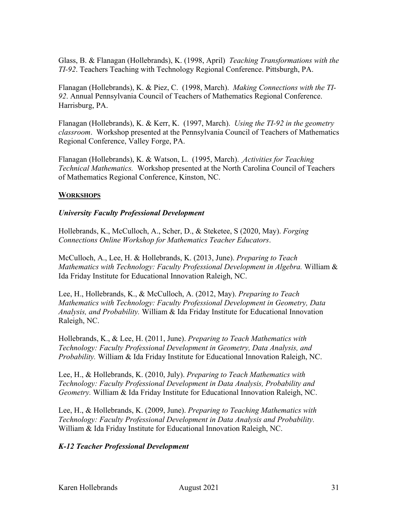Glass, B. & Flanagan (Hollebrands), K. (1998, April) *Teaching Transformations with the TI-92*. Teachers Teaching with Technology Regional Conference. Pittsburgh, PA.

Flanagan (Hollebrands), K. & Piez, C. (1998, March). *Making Connections with the TI-92*. Annual Pennsylvania Council of Teachers of Mathematics Regional Conference. Harrisburg, PA.

Flanagan (Hollebrands), K. & Kerr, K. (1997, March). *Using the TI-92 in the geometry classroom*. Workshop presented at the Pennsylvania Council of Teachers of Mathematics Regional Conference, Valley Forge, PA.

Flanagan (Hollebrands), K. & Watson, L. (1995, March). *Activities for Teaching Technical Mathematics.* Workshop presented at the North Carolina Council of Teachers of Mathematics Regional Conference, Kinston, NC.

### **WORKSHOPS**

### *University Faculty Professional Development*

Hollebrands, K., McCulloch, A., Scher, D., & Steketee, S (2020, May). *Forging Connections Online Workshop for Mathematics Teacher Educators*.

McCulloch, A., Lee, H. & Hollebrands, K. (2013, June). *Preparing to Teach Mathematics with Technology: Faculty Professional Development in Algebra.* William & Ida Friday Institute for Educational Innovation Raleigh, NC.

Lee, H., Hollebrands, K., & McCulloch, A. (2012, May). *Preparing to Teach Mathematics with Technology: Faculty Professional Development in Geometry, Data Analysis, and Probability.* William & Ida Friday Institute for Educational Innovation Raleigh, NC.

Hollebrands, K., & Lee, H. (2011, June). *Preparing to Teach Mathematics with Technology: Faculty Professional Development in Geometry, Data Analysis, and Probability.* William & Ida Friday Institute for Educational Innovation Raleigh, NC.

Lee, H., & Hollebrands, K. (2010, July). *Preparing to Teach Mathematics with Technology: Faculty Professional Development in Data Analysis, Probability and Geometry.* William & Ida Friday Institute for Educational Innovation Raleigh, NC.

Lee, H., & Hollebrands, K. (2009, June). *Preparing to Teaching Mathematics with Technology: Faculty Professional Development in Data Analysis and Probability.*  William & Ida Friday Institute for Educational Innovation Raleigh, NC.

#### *K-12 Teacher Professional Development*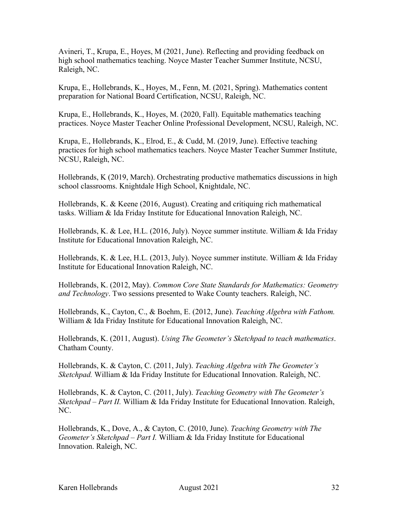Avineri, T., Krupa, E., Hoyes, M (2021, June). Reflecting and providing feedback on high school mathematics teaching. Noyce Master Teacher Summer Institute, NCSU, Raleigh, NC.

Krupa, E., Hollebrands, K., Hoyes, M., Fenn, M. (2021, Spring). Mathematics content preparation for National Board Certification, NCSU, Raleigh, NC.

Krupa, E., Hollebrands, K., Hoyes, M. (2020, Fall). Equitable mathematics teaching practices. Noyce Master Teacher Online Professional Development, NCSU, Raleigh, NC.

Krupa, E., Hollebrands, K., Elrod, E., & Cudd, M. (2019, June). Effective teaching practices for high school mathematics teachers. Noyce Master Teacher Summer Institute, NCSU, Raleigh, NC.

Hollebrands, K (2019, March). Orchestrating productive mathematics discussions in high school classrooms. Knightdale High School, Knightdale, NC.

Hollebrands, K. & Keene (2016, August). Creating and critiquing rich mathematical tasks. William & Ida Friday Institute for Educational Innovation Raleigh, NC.

Hollebrands, K. & Lee, H.L. (2016, July). Noyce summer institute. William & Ida Friday Institute for Educational Innovation Raleigh, NC.

Hollebrands, K. & Lee, H.L. (2013, July). Noyce summer institute. William & Ida Friday Institute for Educational Innovation Raleigh, NC.

Hollebrands, K. (2012, May). *Common Core State Standards for Mathematics: Geometry and Technology*. Two sessions presented to Wake County teachers. Raleigh, NC.

Hollebrands, K., Cayton, C., & Boehm, E. (2012, June). *Teaching Algebra with Fathom.*  William & Ida Friday Institute for Educational Innovation Raleigh, NC.

Hollebrands, K. (2011, August). *Using The Geometer's Sketchpad to teach mathematics*. Chatham County.

Hollebrands, K. & Cayton, C. (2011, July). *Teaching Algebra with The Geometer's Sketchpad.* William & Ida Friday Institute for Educational Innovation. Raleigh, NC.

Hollebrands, K. & Cayton, C. (2011, July). *Teaching Geometry with The Geometer's Sketchpad – Part II.* William & Ida Friday Institute for Educational Innovation. Raleigh, NC.

Hollebrands, K., Dove, A., & Cayton, C. (2010, June). *Teaching Geometry with The Geometer's Sketchpad – Part I.* William & Ida Friday Institute for Educational Innovation. Raleigh, NC.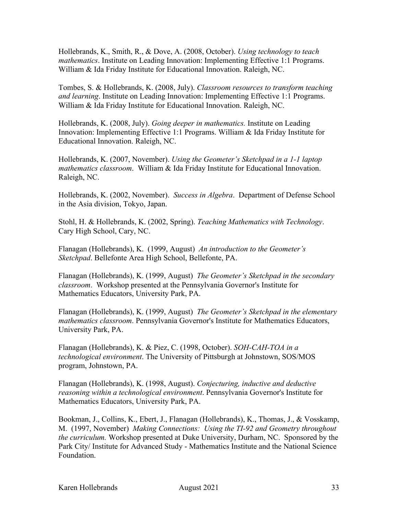Hollebrands, K., Smith, R., & Dove, A. (2008, October). *Using technology to teach mathematics*. Institute on Leading Innovation: Implementing Effective 1:1 Programs. William & Ida Friday Institute for Educational Innovation. Raleigh, NC.

Tombes, S. & Hollebrands, K. (2008, July). *Classroom resources to transform teaching and learning*. Institute on Leading Innovation: Implementing Effective 1:1 Programs. William & Ida Friday Institute for Educational Innovation. Raleigh, NC.

Hollebrands, K. (2008, July). *Going deeper in mathematics.* Institute on Leading Innovation: Implementing Effective 1:1 Programs. William & Ida Friday Institute for Educational Innovation. Raleigh, NC.

Hollebrands, K. (2007, November). *Using the Geometer's Sketchpad in a 1-1 laptop mathematics classroom*. William & Ida Friday Institute for Educational Innovation. Raleigh, NC.

Hollebrands, K. (2002, November). *Success in Algebra*. Department of Defense School in the Asia division, Tokyo, Japan.

Stohl, H. & Hollebrands, K. (2002, Spring). *Teaching Mathematics with Technology*. Cary High School, Cary, NC.

Flanagan (Hollebrands), K. (1999, August) *An introduction to the Geometer's Sketchpad*. Bellefonte Area High School, Bellefonte, PA.

Flanagan (Hollebrands), K. (1999, August) *The Geometer's Sketchpad in the secondary classroom*. Workshop presented at the Pennsylvania Governor's Institute for Mathematics Educators, University Park, PA.

Flanagan (Hollebrands), K. (1999, August) *The Geometer's Sketchpad in the elementary mathematics classroom*. Pennsylvania Governor's Institute for Mathematics Educators, University Park, PA.

Flanagan (Hollebrands), K. & Piez, C. (1998, October). *SOH-CAH-TOA in a technological environment*. The University of Pittsburgh at Johnstown, SOS/MOS program, Johnstown, PA.

Flanagan (Hollebrands), K. (1998, August). *Conjecturing, inductive and deductive reasoning within a technological environment*. Pennsylvania Governor's Institute for Mathematics Educators, University Park, PA.

Bookman, J., Collins, K., Ebert, J., Flanagan (Hollebrands), K., Thomas, J., & Vosskamp, M. (1997, November) *Making Connections: Using the TI-92 and Geometry throughout the curriculum.* Workshop presented at Duke University, Durham, NC. Sponsored by the Park City/ Institute for Advanced Study - Mathematics Institute and the National Science Foundation.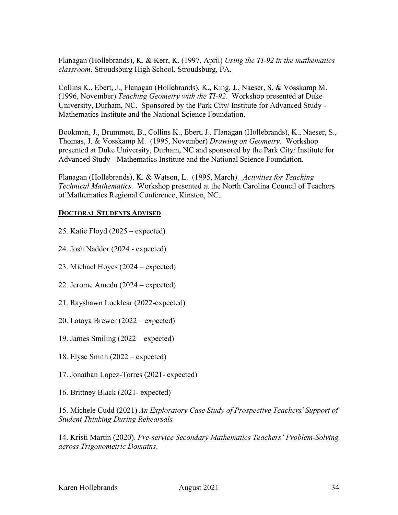Flanagan (Hollebrands), K. & Kerr, K. (1997, April) *Using the TI-92 in the mathematics classroom*. Stroudsburg High School, Stroudsburg, PA.

Collins K., Ebert, J., Flanagan (Hollebrands), K., King, J., Naeser, S. & Vosskamp M. (1996, November) *Teaching Geometry with the TI-92*. Workshop presented at Duke University, Durham, NC. Sponsored by the Park City/ Institute for Advanced Study - Mathematics Institute and the National Science Foundation.

Bookman, J., Brummett, B., Collins K., Ebert, J., Flanagan (Hollebrands), K., Naeser, S., Thomas, J. & Vosskamp M. (1995, November) *Drawing on Geometry*. Workshop presented at Duke University, Durham, NC and sponsored by the Park City/ Institute for Advanced Study - Mathematics Institute and the National Science Foundation.

Flanagan (Hollebrands), K. & Watson, L. (1995, March). *Activities for Teaching Technical Mathematics.* Workshop presented at the North Carolina Council of Teachers of Mathematics Regional Conference, Kinston, NC.

#### **DOCTORAL STUDENTS ADVISED**

25. Katie Floyd (2025 – expected)

24. Josh Naddor (2024 - expected)

- 23. Michael Hoyes (2024 expected)
- 22. Jerome Amedu (2024 expected)
- 21. Rayshawn Locklear (2022-expected)
- 20. Latoya Brewer (2022 expected)
- 19. James Smiling (2022 expected)
- 18. Elyse Smith (2022 expected)
- 17. Jonathan Lopez-Torres (2021- expected)
- 16. Brittney Black (2021- expected)

15. Michele Cudd (2021) *An Exploratory Case Study of Prospective Teachers' Support of Student Thinking During Rehearsals*

14. Kristi Martin (2020). *Pre-service Secondary Mathematics Teachers' Problem-Solving across Trigonometric Domains*.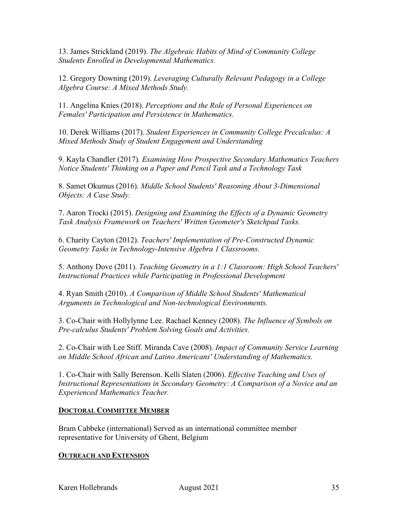13. James Strickland (2019). *The Algebraic Habits of Mind of Community College Students Enrolled in Developmental Mathematics.*

12. Gregory Downing (2019). *Leveraging Culturally Relevant Pedagogy in a College Algebra Course: A Mixed Methods Study.*

11. Angelina Knies (2018). *Perceptions and the Role of Personal Experiences on Females' Participation and Persistence in Mathematics.*

10. Derek Williams (2017). *Student Experiences in Community College Precalculus: A Mixed Methods Study of Student Engagement and Understanding*

9. Kayla Chandler (2017)*. Examining How Prospective Secondary Mathematics Teachers Notice Students' Thinking on a Paper and Pencil Task and a Technology Task*

8. Samet Okumus (2016). *Middle School Students' Reasoning About 3-Dimensional Objects: A Case Study.*

7. Aaron Trocki (2015). *Designing and Examining the Effects of a Dynamic Geometry Task Analysis Framework on Teachers' Written Geometer's Sketchpad Tasks.*

6. Charity Cayton (2012). *Teachers' Implementation of Pre-Constructed Dynamic Geometry Tasks in Technology-Intensive Algebra 1 Classrooms.*

5. Anthony Dove (2011). *Teaching Geometry in a 1:1 Classroom: High School Teachers' Instructional Practices while Participating in Professional Development*

4. Ryan Smith (2010). *A Comparison of Middle School Students' Mathematical Arguments in Technological and Non-technological Environments.*

3. Co-Chair with Hollylynne Lee. Rachael Kenney (2008). *The Influence of Symbols on Pre-calculus Students' Problem Solving Goals and Activities.*

2. Co-Chair with Lee Stiff. Miranda Cave (2008). *Impact of Community Service Learning on Middle School African and Latino Americans' Understanding of Mathematics.*

1. Co-Chair with Sally Berenson. Kelli Slaten (2006). *Effective Teaching and Uses of Instructional Representations in Secondary Geometry: A Comparison of a Novice and an Experienced Mathematics Teacher.*

## **DOCTORAL COMMITTEE MEMBER**

Bram Cabbeke (international) Served as an international committee member representative for University of Ghent, Belgium

#### **OUTREACH AND EXTENSION**